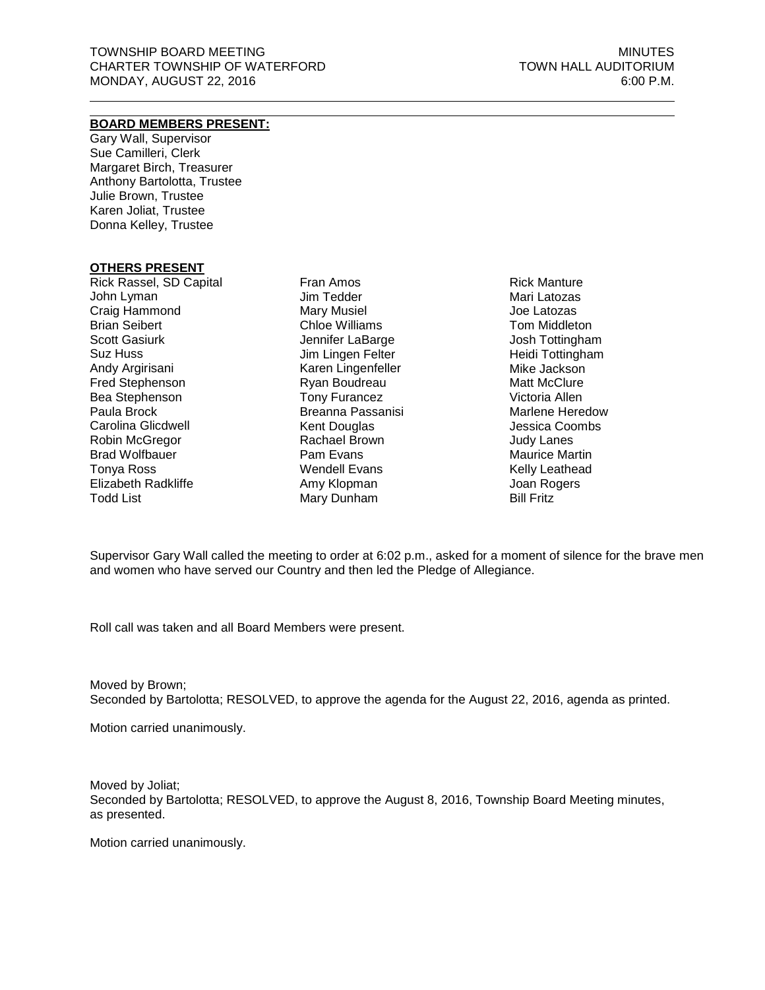# **BOARD MEMBERS PRESENT:**

Gary Wall, Supervisor Sue Camilleri, Clerk Margaret Birch, Treasurer Anthony Bartolotta, Trustee Julie Brown, Trustee Karen Joliat, Trustee Donna Kelley, Trustee

#### **OTHERS PRESENT**

Rick Rassel, SD Capital John Lyman Craig Hammond Brian Seibert Scott Gasiurk Suz Huss Andy Argirisani Fred Stephenson Bea Stephenson Paula Brock Carolina Glicdwell Robin McGregor Brad Wolfbauer Tonya Ross Elizabeth Radkliffe Todd List

Fran Amos Jim Tedder Mary Musiel Chloe Williams Jennifer LaBarge Jim Lingen Felter Karen Lingenfeller Ryan Boudreau Tony Furancez Breanna Passanisi Kent Douglas Rachael Brown Pam Evans Wendell Evans Amy Klopman Mary Dunham

Rick Manture Mari Latozas Joe Latozas Tom Middleton Josh Tottingham Heidi Tottingham Mike Jackson Matt McClure Victoria Allen Marlene Heredow Jessica Coombs Judy Lanes Maurice Martin Kelly Leathead Joan Rogers Bill Fritz

Supervisor Gary Wall called the meeting to order at 6:02 p.m., asked for a moment of silence for the brave men and women who have served our Country and then led the Pledge of Allegiance.

Roll call was taken and all Board Members were present.

Moved by Brown; Seconded by Bartolotta; RESOLVED, to approve the agenda for the August 22, 2016, agenda as printed.

Motion carried unanimously.

Moved by Joliat; Seconded by Bartolotta; RESOLVED, to approve the August 8, 2016, Township Board Meeting minutes, as presented.

Motion carried unanimously.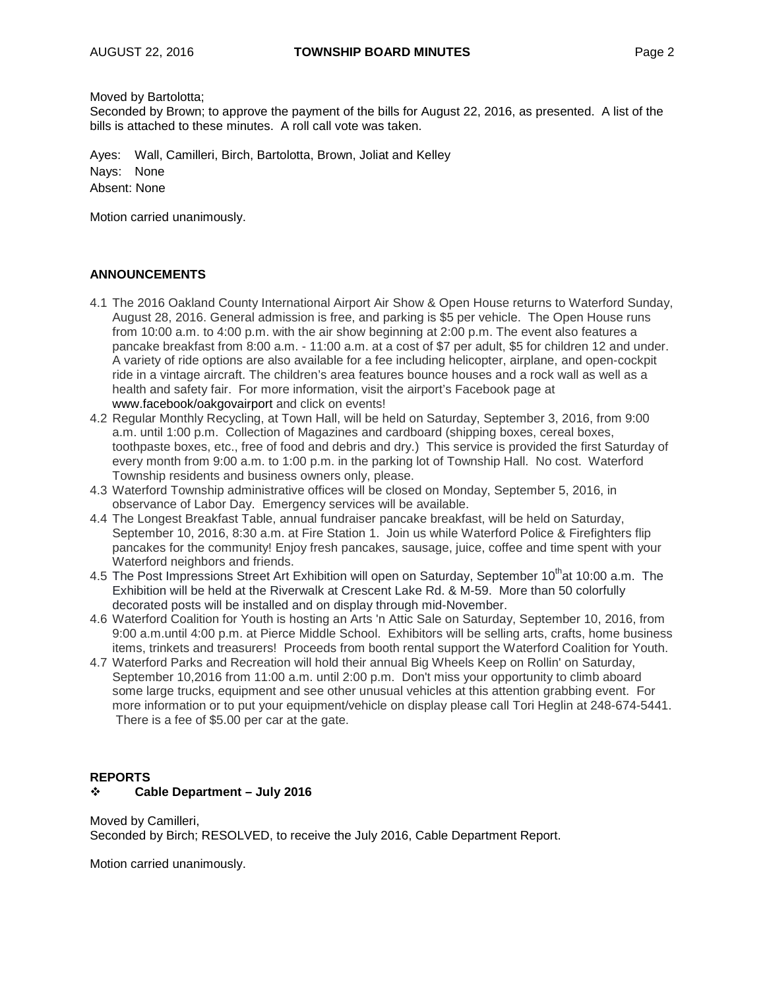Moved by Bartolotta;

Seconded by Brown; to approve the payment of the bills for August 22, 2016, as presented. A list of the bills is attached to these minutes. A roll call vote was taken.

Ayes: Wall, Camilleri, Birch, Bartolotta, Brown, Joliat and Kelley Nays: None Absent: None

Motion carried unanimously.

# **ANNOUNCEMENTS**

- 4.1 The 2016 Oakland County International Airport Air Show & Open House returns to Waterford Sunday, August 28, 2016. General admission is free, and parking is \$5 per vehicle. The Open House runs from 10:00 a.m. to 4:00 p.m. with the air show beginning at 2:00 p.m. The event also features a pancake breakfast from 8:00 a.m. - 11:00 a.m. at a cost of \$7 per adult, \$5 for children 12 and under. A variety of ride options are also available for a fee including helicopter, airplane, and open-cockpit ride in a vintage aircraft. The children's area features bounce houses and a rock wall as well as a health and safety fair. For more information, visit the airport's Facebook page at [www.facebook/oakgovairport](http://www.facebook/oakgovairport) and click on events!
- 4.2 Regular Monthly Recycling, at Town Hall, will be held on Saturday, September 3, 2016, from 9:00 a.m. until 1:00 p.m. Collection of Magazines and cardboard (shipping boxes, cereal boxes, toothpaste boxes, etc., free of food and debris and dry.) This service is provided the first Saturday of every month from 9:00 a.m. to 1:00 p.m. in the parking lot of Township Hall. No cost. Waterford Township residents and business owners only, please.
- 4.3 Waterford Township administrative offices will be closed on Monday, September 5, 2016, in observance of Labor Day. Emergency services will be available.
- 4.4 The Longest Breakfast Table, annual fundraiser pancake breakfast, will be held on Saturday, September 10, 2016, 8:30 a.m. at Fire Station 1. Join us while Waterford Police & Firefighters flip pancakes for the community! Enjoy fresh pancakes, sausage, juice, coffee and time spent with your Waterford neighbors and friends.
- 4.5 The Post Impressions Street Art Exhibition will open on Saturday, September 10that 10:00 a.m. The Exhibition will be held at the Riverwalk at Crescent Lake Rd. & M-59. More than 50 colorfully decorated posts will be installed and on display through mid-November.
- 4.6 Waterford Coalition for Youth is hosting an Arts 'n Attic Sale on Saturday, September 10, 2016, from 9:00 a.m.until 4:00 p.m. at Pierce Middle School. Exhibitors will be selling arts, crafts, home business items, trinkets and treasurers! Proceeds from booth rental support the Waterford Coalition for Youth.
- 4.7 Waterford Parks and Recreation will hold their annual Big Wheels Keep on Rollin' on Saturday, September 10,2016 from 11:00 a.m. until 2:00 p.m. Don't miss your opportunity to climb aboard some large trucks, equipment and see other unusual vehicles at this attention grabbing event. For more information or to put your equipment/vehicle on display please call Tori Heglin at 248-674-5441. There is a fee of \$5.00 per car at the gate.

# **REPORTS**

# **Cable Department – July 2016**

Moved by Camilleri, Seconded by Birch; RESOLVED, to receive the July 2016, Cable Department Report.

Motion carried unanimously.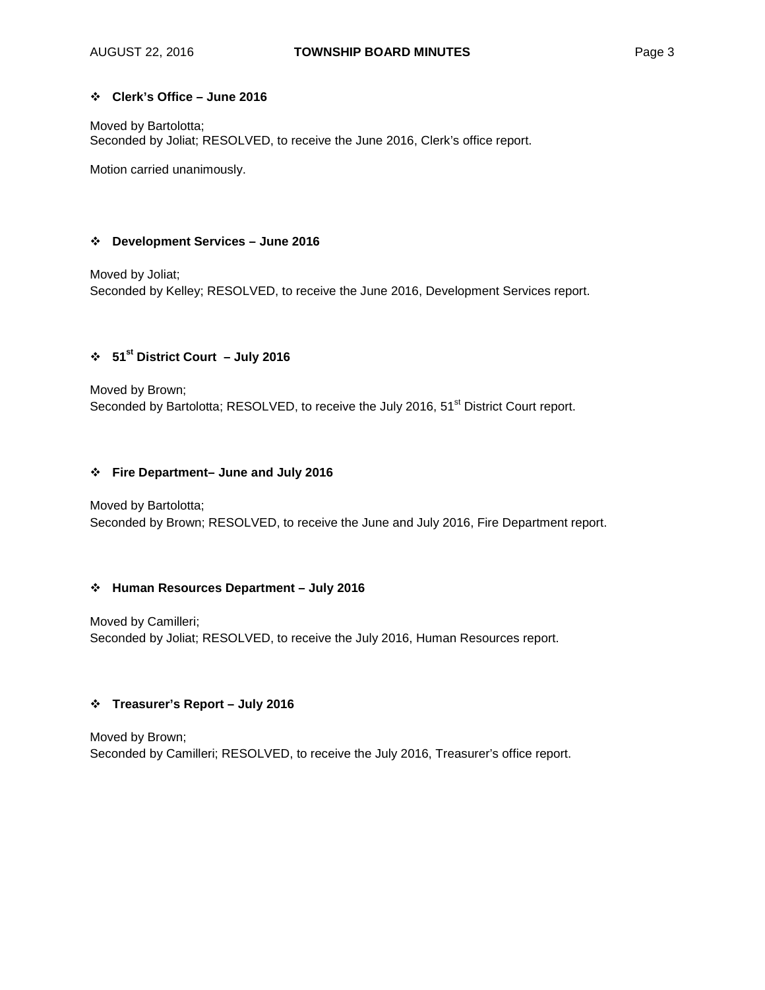Moved by Bartolotta; Seconded by Joliat; RESOLVED, to receive the June 2016, Clerk's office report.

Motion carried unanimously.

# **Development Services – June 2016**

Moved by Joliat; Seconded by Kelley; RESOLVED, to receive the June 2016, Development Services report.

# **51st District Court – July 2016**

Moved by Brown; Seconded by Bartolotta; RESOLVED, to receive the July 2016, 51<sup>st</sup> District Court report.

# **Fire Department– June and July 2016**

Moved by Bartolotta; Seconded by Brown; RESOLVED, to receive the June and July 2016, Fire Department report.

# **Human Resources Department – July 2016**

Moved by Camilleri; Seconded by Joliat; RESOLVED, to receive the July 2016, Human Resources report.

# **Treasurer's Report – July 2016**

Moved by Brown; Seconded by Camilleri; RESOLVED, to receive the July 2016, Treasurer's office report.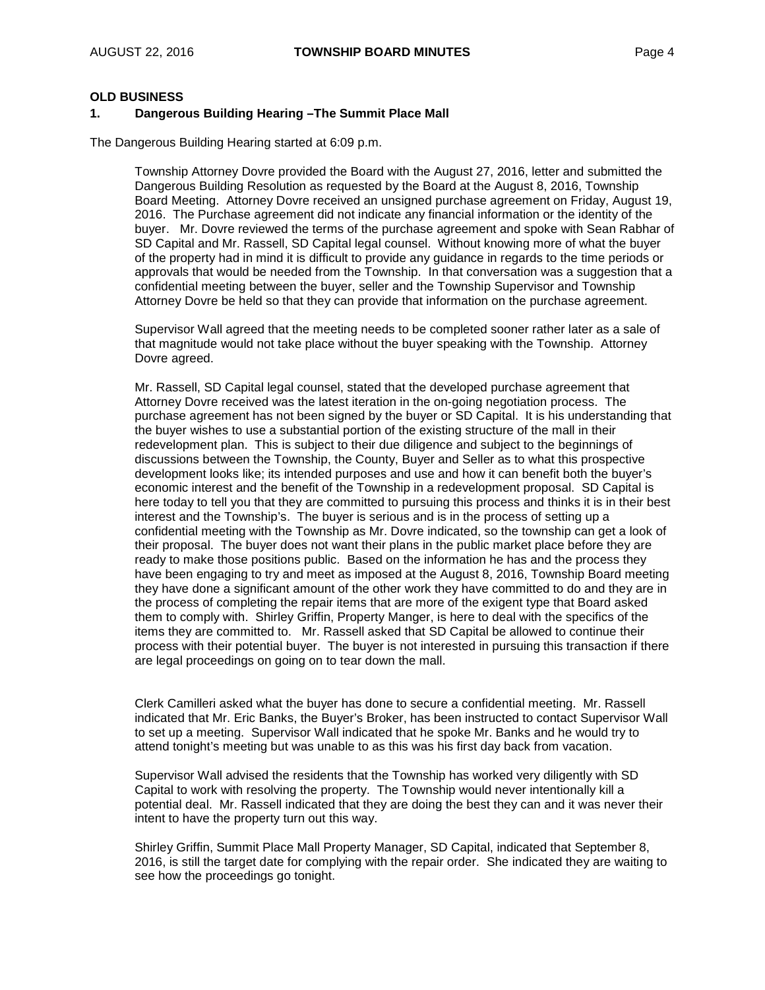### **OLD BUSINESS**

### **1. Dangerous Building Hearing –The Summit Place Mall**

The Dangerous Building Hearing started at 6:09 p.m.

Township Attorney Dovre provided the Board with the August 27, 2016, letter and submitted the Dangerous Building Resolution as requested by the Board at the August 8, 2016, Township Board Meeting. Attorney Dovre received an unsigned purchase agreement on Friday, August 19, 2016. The Purchase agreement did not indicate any financial information or the identity of the buyer. Mr. Dovre reviewed the terms of the purchase agreement and spoke with Sean Rabhar of SD Capital and Mr. Rassell, SD Capital legal counsel. Without knowing more of what the buyer of the property had in mind it is difficult to provide any guidance in regards to the time periods or approvals that would be needed from the Township. In that conversation was a suggestion that a confidential meeting between the buyer, seller and the Township Supervisor and Township Attorney Dovre be held so that they can provide that information on the purchase agreement.

Supervisor Wall agreed that the meeting needs to be completed sooner rather later as a sale of that magnitude would not take place without the buyer speaking with the Township. Attorney Dovre agreed.

Mr. Rassell, SD Capital legal counsel, stated that the developed purchase agreement that Attorney Dovre received was the latest iteration in the on-going negotiation process. The purchase agreement has not been signed by the buyer or SD Capital. It is his understanding that the buyer wishes to use a substantial portion of the existing structure of the mall in their redevelopment plan. This is subject to their due diligence and subject to the beginnings of discussions between the Township, the County, Buyer and Seller as to what this prospective development looks like; its intended purposes and use and how it can benefit both the buyer's economic interest and the benefit of the Township in a redevelopment proposal. SD Capital is here today to tell you that they are committed to pursuing this process and thinks it is in their best interest and the Township's. The buyer is serious and is in the process of setting up a confidential meeting with the Township as Mr. Dovre indicated, so the township can get a look of their proposal. The buyer does not want their plans in the public market place before they are ready to make those positions public. Based on the information he has and the process they have been engaging to try and meet as imposed at the August 8, 2016, Township Board meeting they have done a significant amount of the other work they have committed to do and they are in the process of completing the repair items that are more of the exigent type that Board asked them to comply with. Shirley Griffin, Property Manger, is here to deal with the specifics of the items they are committed to. Mr. Rassell asked that SD Capital be allowed to continue their process with their potential buyer. The buyer is not interested in pursuing this transaction if there are legal proceedings on going on to tear down the mall.

Clerk Camilleri asked what the buyer has done to secure a confidential meeting. Mr. Rassell indicated that Mr. Eric Banks, the Buyer's Broker, has been instructed to contact Supervisor Wall to set up a meeting. Supervisor Wall indicated that he spoke Mr. Banks and he would try to attend tonight's meeting but was unable to as this was his first day back from vacation.

Supervisor Wall advised the residents that the Township has worked very diligently with SD Capital to work with resolving the property. The Township would never intentionally kill a potential deal. Mr. Rassell indicated that they are doing the best they can and it was never their intent to have the property turn out this way.

Shirley Griffin, Summit Place Mall Property Manager, SD Capital, indicated that September 8, 2016, is still the target date for complying with the repair order. She indicated they are waiting to see how the proceedings go tonight.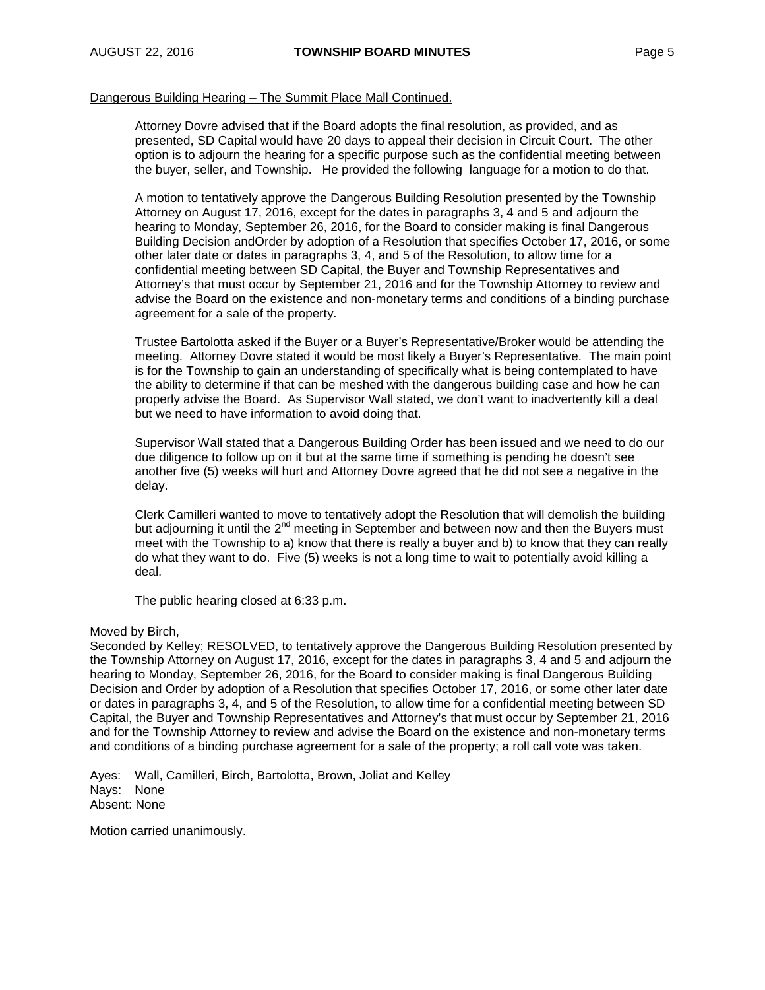#### Dangerous Building Hearing – The Summit Place Mall Continued.

Attorney Dovre advised that if the Board adopts the final resolution, as provided, and as presented, SD Capital would have 20 days to appeal their decision in Circuit Court. The other option is to adjourn the hearing for a specific purpose such as the confidential meeting between the buyer, seller, and Township. He provided the following language for a motion to do that.

A motion to tentatively approve the Dangerous Building Resolution presented by the Township Attorney on August 17, 2016, except for the dates in paragraphs 3, 4 and 5 and adjourn the hearing to Monday, September 26, 2016, for the Board to consider making is final Dangerous Building Decision andOrder by adoption of a Resolution that specifies October 17, 2016, or some other later date or dates in paragraphs 3, 4, and 5 of the Resolution, to allow time for a confidential meeting between SD Capital, the Buyer and Township Representatives and Attorney's that must occur by September 21, 2016 and for the Township Attorney to review and advise the Board on the existence and non-monetary terms and conditions of a binding purchase agreement for a sale of the property.

Trustee Bartolotta asked if the Buyer or a Buyer's Representative/Broker would be attending the meeting. Attorney Dovre stated it would be most likely a Buyer's Representative. The main point is for the Township to gain an understanding of specifically what is being contemplated to have the ability to determine if that can be meshed with the dangerous building case and how he can properly advise the Board. As Supervisor Wall stated, we don't want to inadvertently kill a deal but we need to have information to avoid doing that.

Supervisor Wall stated that a Dangerous Building Order has been issued and we need to do our due diligence to follow up on it but at the same time if something is pending he doesn't see another five (5) weeks will hurt and Attorney Dovre agreed that he did not see a negative in the delay.

Clerk Camilleri wanted to move to tentatively adopt the Resolution that will demolish the building but adjourning it until the  $2^{nd}$  meeting in September and between now and then the Buyers must meet with the Township to a) know that there is really a buyer and b) to know that they can really do what they want to do. Five (5) weeks is not a long time to wait to potentially avoid killing a deal.

The public hearing closed at 6:33 p.m.

Moved by Birch,

Seconded by Kelley; RESOLVED, to tentatively approve the Dangerous Building Resolution presented by the Township Attorney on August 17, 2016, except for the dates in paragraphs 3, 4 and 5 and adjourn the hearing to Monday, September 26, 2016, for the Board to consider making is final Dangerous Building Decision and Order by adoption of a Resolution that specifies October 17, 2016, or some other later date or dates in paragraphs 3, 4, and 5 of the Resolution, to allow time for a confidential meeting between SD Capital, the Buyer and Township Representatives and Attorney's that must occur by September 21, 2016 and for the Township Attorney to review and advise the Board on the existence and non-monetary terms and conditions of a binding purchase agreement for a sale of the property; a roll call vote was taken.

Ayes: Wall, Camilleri, Birch, Bartolotta, Brown, Joliat and Kelley Nays: None Absent: None

Motion carried unanimously.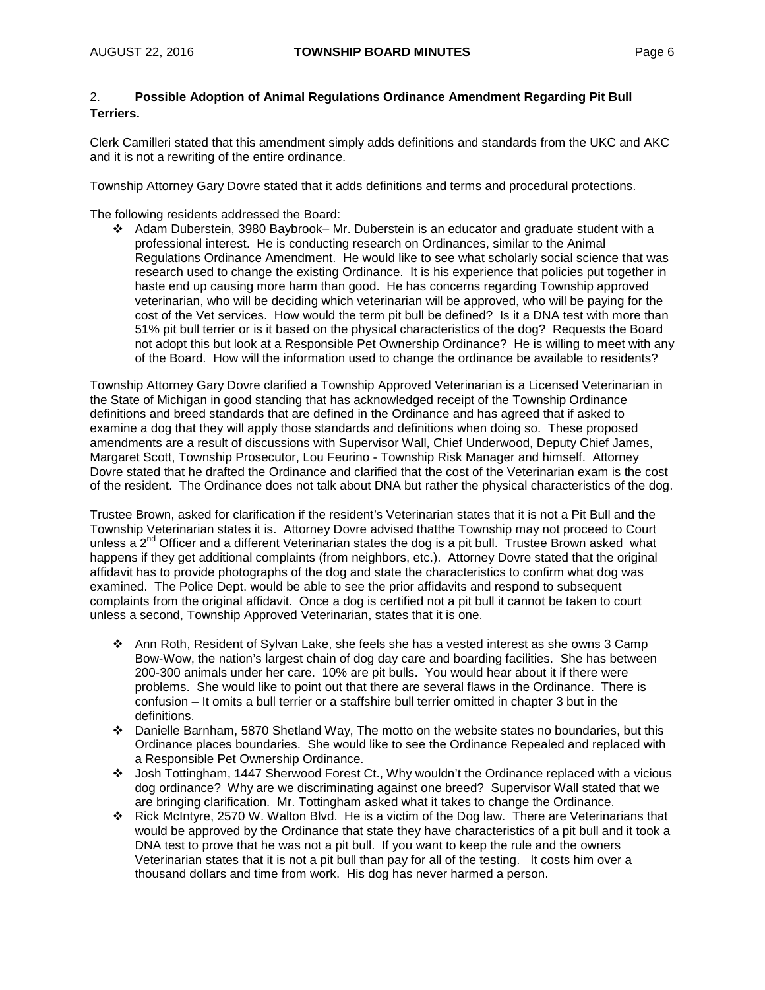Clerk Camilleri stated that this amendment simply adds definitions and standards from the UKC and AKC and it is not a rewriting of the entire ordinance.

Township Attorney Gary Dovre stated that it adds definitions and terms and procedural protections.

The following residents addressed the Board:

 Adam Duberstein, 3980 Baybrook– Mr. Duberstein is an educator and graduate student with a professional interest. He is conducting research on Ordinances, similar to the Animal Regulations Ordinance Amendment. He would like to see what scholarly social science that was research used to change the existing Ordinance. It is his experience that policies put together in haste end up causing more harm than good. He has concerns regarding Township approved veterinarian, who will be deciding which veterinarian will be approved, who will be paying for the cost of the Vet services. How would the term pit bull be defined? Is it a DNA test with more than 51% pit bull terrier or is it based on the physical characteristics of the dog? Requests the Board not adopt this but look at a Responsible Pet Ownership Ordinance? He is willing to meet with any of the Board. How will the information used to change the ordinance be available to residents?

Township Attorney Gary Dovre clarified a Township Approved Veterinarian is a Licensed Veterinarian in the State of Michigan in good standing that has acknowledged receipt of the Township Ordinance definitions and breed standards that are defined in the Ordinance and has agreed that if asked to examine a dog that they will apply those standards and definitions when doing so. These proposed amendments are a result of discussions with Supervisor Wall, Chief Underwood, Deputy Chief James, Margaret Scott, Township Prosecutor, Lou Feurino - Township Risk Manager and himself. Attorney Dovre stated that he drafted the Ordinance and clarified that the cost of the Veterinarian exam is the cost of the resident. The Ordinance does not talk about DNA but rather the physical characteristics of the dog.

Trustee Brown, asked for clarification if the resident's Veterinarian states that it is not a Pit Bull and the Township Veterinarian states it is. Attorney Dovre advised thatthe Township may not proceed to Court unless a 2<sup>nd</sup> Officer and a different Veterinarian states the dog is a pit bull. Trustee Brown asked what happens if they get additional complaints (from neighbors, etc.). Attorney Dovre stated that the original affidavit has to provide photographs of the dog and state the characteristics to confirm what dog was examined. The Police Dept. would be able to see the prior affidavits and respond to subsequent complaints from the original affidavit. Once a dog is certified not a pit bull it cannot be taken to court unless a second, Township Approved Veterinarian, states that it is one.

- Ann Roth, Resident of Sylvan Lake, she feels she has a vested interest as she owns 3 Camp Bow-Wow, the nation's largest chain of dog day care and boarding facilities. She has between 200-300 animals under her care. 10% are pit bulls. You would hear about it if there were problems. She would like to point out that there are several flaws in the Ordinance. There is confusion – It omits a bull terrier or a staffshire bull terrier omitted in chapter 3 but in the definitions.
- Danielle Barnham, 5870 Shetland Way, The motto on the website states no boundaries, but this Ordinance places boundaries. She would like to see the Ordinance Repealed and replaced with a Responsible Pet Ownership Ordinance.
- Josh Tottingham, 1447 Sherwood Forest Ct., Why wouldn't the Ordinance replaced with a vicious dog ordinance? Why are we discriminating against one breed? Supervisor Wall stated that we are bringing clarification. Mr. Tottingham asked what it takes to change the Ordinance.
- Rick McIntyre, 2570 W. Walton Blvd. He is a victim of the Dog law. There are Veterinarians that would be approved by the Ordinance that state they have characteristics of a pit bull and it took a DNA test to prove that he was not a pit bull. If you want to keep the rule and the owners Veterinarian states that it is not a pit bull than pay for all of the testing. It costs him over a thousand dollars and time from work. His dog has never harmed a person.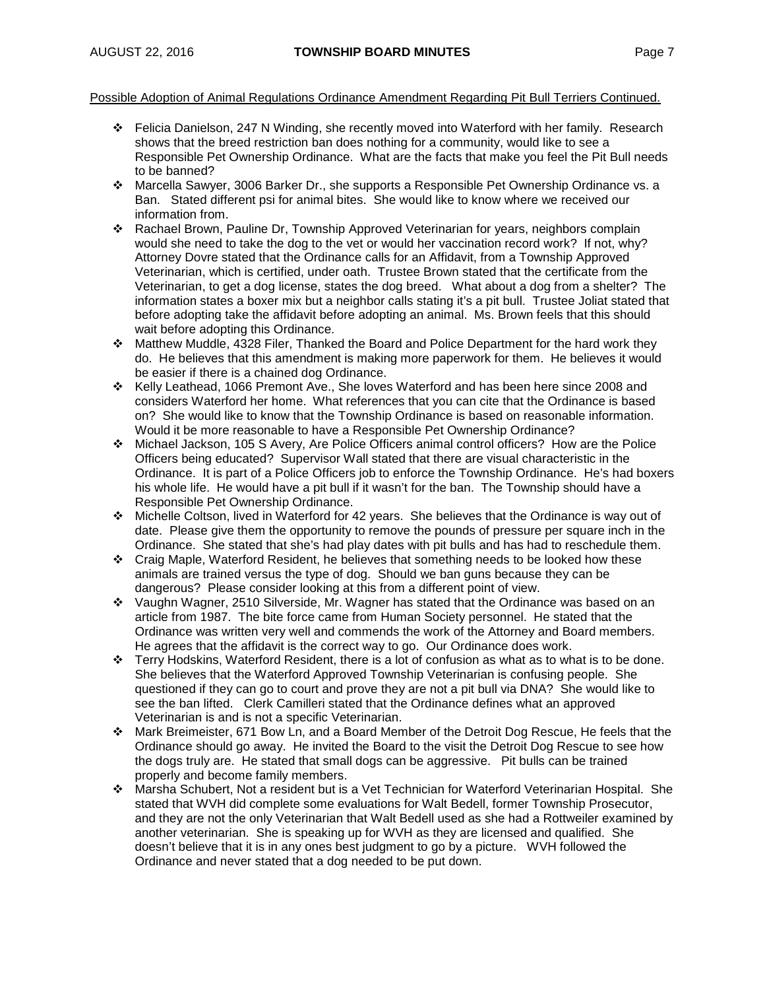- Felicia Danielson, 247 N Winding, she recently moved into Waterford with her family. Research shows that the breed restriction ban does nothing for a community, would like to see a Responsible Pet Ownership Ordinance. What are the facts that make you feel the Pit Bull needs to be banned?
- Marcella Sawyer, 3006 Barker Dr., she supports a Responsible Pet Ownership Ordinance vs. a Ban. Stated different psi for animal bites. She would like to know where we received our information from.
- Rachael Brown, Pauline Dr, Township Approved Veterinarian for years, neighbors complain would she need to take the dog to the vet or would her vaccination record work? If not, why? Attorney Dovre stated that the Ordinance calls for an Affidavit, from a Township Approved Veterinarian, which is certified, under oath. Trustee Brown stated that the certificate from the Veterinarian, to get a dog license, states the dog breed. What about a dog from a shelter? The information states a boxer mix but a neighbor calls stating it's a pit bull. Trustee Joliat stated that before adopting take the affidavit before adopting an animal. Ms. Brown feels that this should wait before adopting this Ordinance.
- Matthew Muddle, 4328 Filer, Thanked the Board and Police Department for the hard work they do. He believes that this amendment is making more paperwork for them. He believes it would be easier if there is a chained dog Ordinance.
- Kelly Leathead, 1066 Premont Ave., She loves Waterford and has been here since 2008 and considers Waterford her home. What references that you can cite that the Ordinance is based on? She would like to know that the Township Ordinance is based on reasonable information. Would it be more reasonable to have a Responsible Pet Ownership Ordinance?
- Michael Jackson, 105 S Avery, Are Police Officers animal control officers? How are the Police Officers being educated? Supervisor Wall stated that there are visual characteristic in the Ordinance. It is part of a Police Officers job to enforce the Township Ordinance. He's had boxers his whole life. He would have a pit bull if it wasn't for the ban. The Township should have a Responsible Pet Ownership Ordinance.
- Michelle Coltson, lived in Waterford for 42 years. She believes that the Ordinance is way out of date. Please give them the opportunity to remove the pounds of pressure per square inch in the Ordinance. She stated that she's had play dates with pit bulls and has had to reschedule them.
- Craig Maple, Waterford Resident, he believes that something needs to be looked how these animals are trained versus the type of dog. Should we ban guns because they can be dangerous? Please consider looking at this from a different point of view.
- Vaughn Wagner, 2510 Silverside, Mr. Wagner has stated that the Ordinance was based on an article from 1987. The bite force came from Human Society personnel. He stated that the Ordinance was written very well and commends the work of the Attorney and Board members. He agrees that the affidavit is the correct way to go. Our Ordinance does work.
- $\div$  Terry Hodskins, Waterford Resident, there is a lot of confusion as what as to what is to be done. She believes that the Waterford Approved Township Veterinarian is confusing people. She questioned if they can go to court and prove they are not a pit bull via DNA? She would like to see the ban lifted. Clerk Camilleri stated that the Ordinance defines what an approved Veterinarian is and is not a specific Veterinarian.
- Mark Breimeister, 671 Bow Ln, and a Board Member of the Detroit Dog Rescue, He feels that the Ordinance should go away. He invited the Board to the visit the Detroit Dog Rescue to see how the dogs truly are. He stated that small dogs can be aggressive. Pit bulls can be trained properly and become family members.
- Marsha Schubert, Not a resident but is a Vet Technician for Waterford Veterinarian Hospital. She stated that WVH did complete some evaluations for Walt Bedell, former Township Prosecutor, and they are not the only Veterinarian that Walt Bedell used as she had a Rottweiler examined by another veterinarian. She is speaking up for WVH as they are licensed and qualified. She doesn't believe that it is in any ones best judgment to go by a picture. WVH followed the Ordinance and never stated that a dog needed to be put down.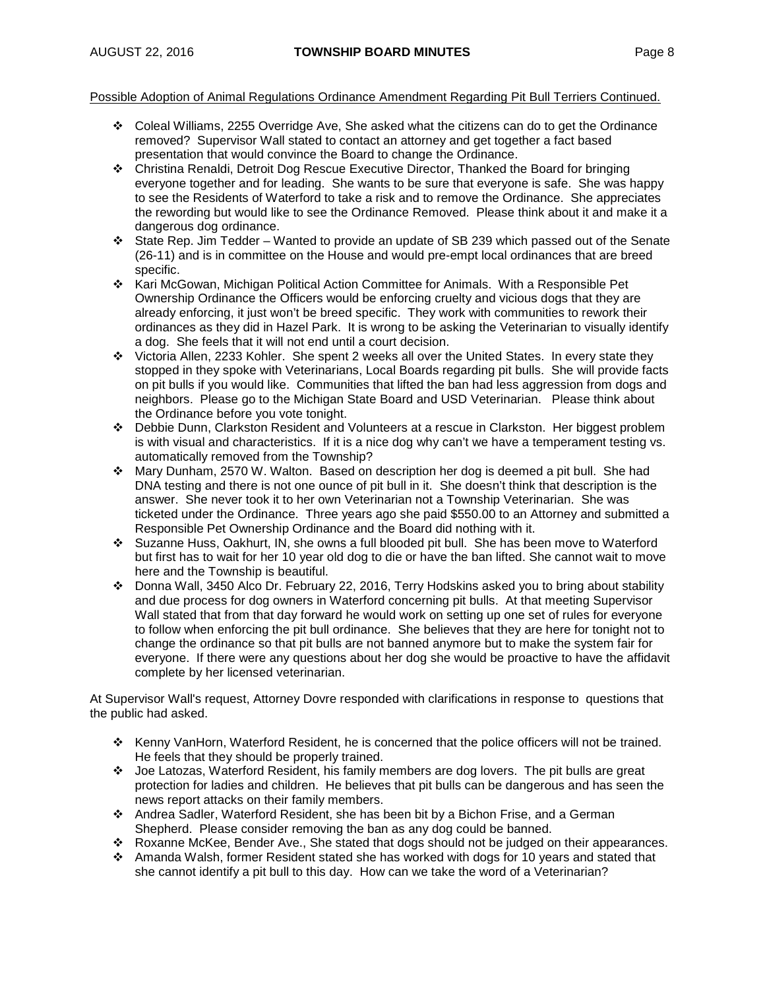- Coleal Williams, 2255 Overridge Ave, She asked what the citizens can do to get the Ordinance removed? Supervisor Wall stated to contact an attorney and get together a fact based presentation that would convince the Board to change the Ordinance.
- Christina Renaldi, Detroit Dog Rescue Executive Director, Thanked the Board for bringing everyone together and for leading. She wants to be sure that everyone is safe. She was happy to see the Residents of Waterford to take a risk and to remove the Ordinance. She appreciates the rewording but would like to see the Ordinance Removed. Please think about it and make it a dangerous dog ordinance.
- State Rep. Jim Tedder Wanted to provide an update of SB 239 which passed out of the Senate (26-11) and is in committee on the House and would pre-empt local ordinances that are breed specific.
- Kari McGowan, Michigan Political Action Committee for Animals. With a Responsible Pet Ownership Ordinance the Officers would be enforcing cruelty and vicious dogs that they are already enforcing, it just won't be breed specific. They work with communities to rework their ordinances as they did in Hazel Park. It is wrong to be asking the Veterinarian to visually identify a dog. She feels that it will not end until a court decision.
- Victoria Allen, 2233 Kohler. She spent 2 weeks all over the United States. In every state they stopped in they spoke with Veterinarians, Local Boards regarding pit bulls. She will provide facts on pit bulls if you would like. Communities that lifted the ban had less aggression from dogs and neighbors. Please go to the Michigan State Board and USD Veterinarian. Please think about the Ordinance before you vote tonight.
- Debbie Dunn, Clarkston Resident and Volunteers at a rescue in Clarkston. Her biggest problem is with visual and characteristics. If it is a nice dog why can't we have a temperament testing vs. automatically removed from the Township?
- Mary Dunham, 2570 W. Walton. Based on description her dog is deemed a pit bull. She had DNA testing and there is not one ounce of pit bull in it. She doesn't think that description is the answer. She never took it to her own Veterinarian not a Township Veterinarian. She was ticketed under the Ordinance. Three years ago she paid \$550.00 to an Attorney and submitted a Responsible Pet Ownership Ordinance and the Board did nothing with it.
- Suzanne Huss, Oakhurt, IN, she owns a full blooded pit bull. She has been move to Waterford but first has to wait for her 10 year old dog to die or have the ban lifted. She cannot wait to move here and the Township is beautiful.
- Donna Wall, 3450 Alco Dr. February 22, 2016, Terry Hodskins asked you to bring about stability and due process for dog owners in Waterford concerning pit bulls. At that meeting Supervisor Wall stated that from that day forward he would work on setting up one set of rules for everyone to follow when enforcing the pit bull ordinance. She believes that they are here for tonight not to change the ordinance so that pit bulls are not banned anymore but to make the system fair for everyone. If there were any questions about her dog she would be proactive to have the affidavit complete by her licensed veterinarian.

At Supervisor Wall's request, Attorney Dovre responded with clarifications in response to questions that the public had asked.

- Kenny VanHorn, Waterford Resident, he is concerned that the police officers will not be trained. He feels that they should be properly trained.
- Joe Latozas, Waterford Resident, his family members are dog lovers. The pit bulls are great protection for ladies and children. He believes that pit bulls can be dangerous and has seen the news report attacks on their family members.
- Andrea Sadler, Waterford Resident, she has been bit by a Bichon Frise, and a German Shepherd. Please consider removing the ban as any dog could be banned.
- Roxanne McKee, Bender Ave., She stated that dogs should not be judged on their appearances.
- Amanda Walsh, former Resident stated she has worked with dogs for 10 years and stated that she cannot identify a pit bull to this day. How can we take the word of a Veterinarian?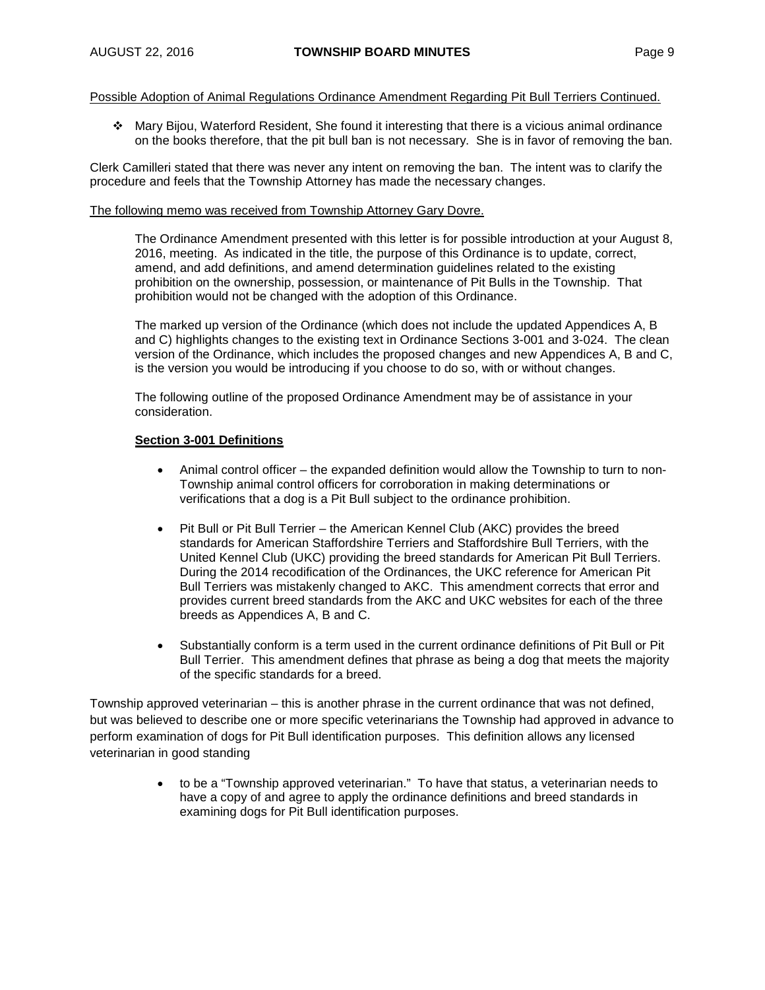Mary Bijou, Waterford Resident, She found it interesting that there is a vicious animal ordinance on the books therefore, that the pit bull ban is not necessary. She is in favor of removing the ban.

Clerk Camilleri stated that there was never any intent on removing the ban. The intent was to clarify the procedure and feels that the Township Attorney has made the necessary changes.

#### The following memo was received from Township Attorney Gary Dovre.

The Ordinance Amendment presented with this letter is for possible introduction at your August 8, 2016, meeting. As indicated in the title, the purpose of this Ordinance is to update, correct, amend, and add definitions, and amend determination guidelines related to the existing prohibition on the ownership, possession, or maintenance of Pit Bulls in the Township. That prohibition would not be changed with the adoption of this Ordinance.

The marked up version of the Ordinance (which does not include the updated Appendices A, B and C) highlights changes to the existing text in Ordinance Sections 3-001 and 3-024. The clean version of the Ordinance, which includes the proposed changes and new Appendices A, B and C, is the version you would be introducing if you choose to do so, with or without changes.

The following outline of the proposed Ordinance Amendment may be of assistance in your consideration.

#### **Section 3-001 Definitions**

- Animal control officer the expanded definition would allow the Township to turn to non-Township animal control officers for corroboration in making determinations or verifications that a dog is a Pit Bull subject to the ordinance prohibition.
- Pit Bull or Pit Bull Terrier the American Kennel Club (AKC) provides the breed standards for American Staffordshire Terriers and Staffordshire Bull Terriers, with the United Kennel Club (UKC) providing the breed standards for American Pit Bull Terriers. During the 2014 recodification of the Ordinances, the UKC reference for American Pit Bull Terriers was mistakenly changed to AKC. This amendment corrects that error and provides current breed standards from the AKC and UKC websites for each of the three breeds as Appendices A, B and C.
- Substantially conform is a term used in the current ordinance definitions of Pit Bull or Pit Bull Terrier. This amendment defines that phrase as being a dog that meets the majority of the specific standards for a breed.

Township approved veterinarian – this is another phrase in the current ordinance that was not defined, but was believed to describe one or more specific veterinarians the Township had approved in advance to perform examination of dogs for Pit Bull identification purposes. This definition allows any licensed veterinarian in good standing

> • to be a "Township approved veterinarian." To have that status, a veterinarian needs to have a copy of and agree to apply the ordinance definitions and breed standards in examining dogs for Pit Bull identification purposes.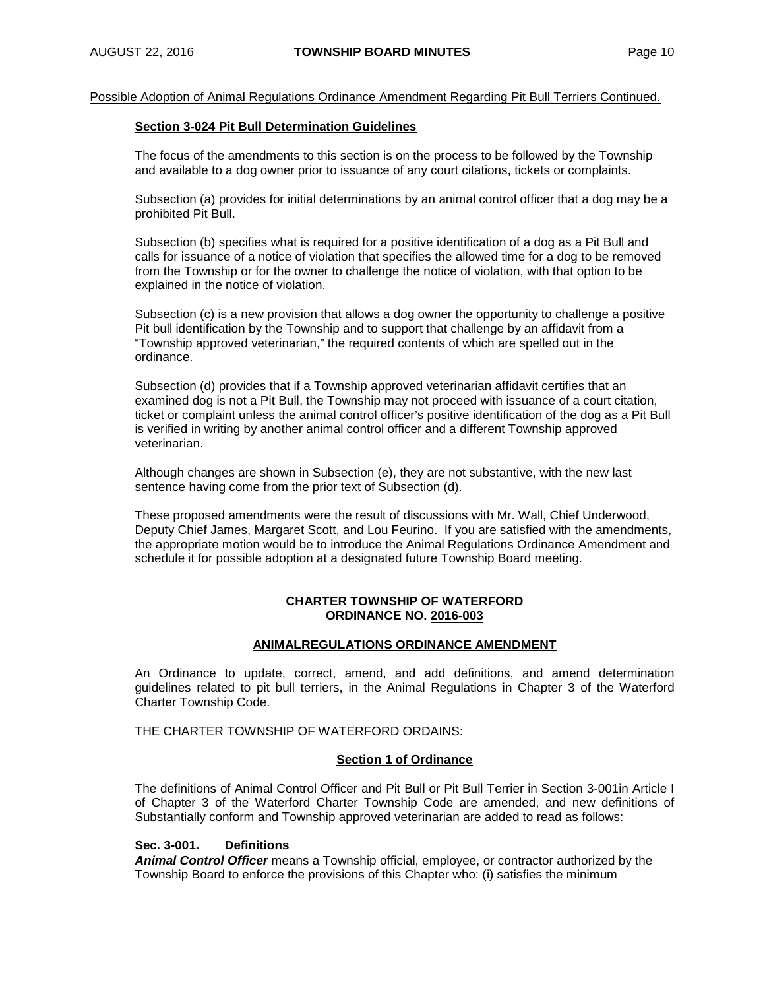#### **Section 3-024 Pit Bull Determination Guidelines**

The focus of the amendments to this section is on the process to be followed by the Township and available to a dog owner prior to issuance of any court citations, tickets or complaints.

Subsection (a) provides for initial determinations by an animal control officer that a dog may be a prohibited Pit Bull.

Subsection (b) specifies what is required for a positive identification of a dog as a Pit Bull and calls for issuance of a notice of violation that specifies the allowed time for a dog to be removed from the Township or for the owner to challenge the notice of violation, with that option to be explained in the notice of violation.

Subsection (c) is a new provision that allows a dog owner the opportunity to challenge a positive Pit bull identification by the Township and to support that challenge by an affidavit from a "Township approved veterinarian," the required contents of which are spelled out in the ordinance.

Subsection (d) provides that if a Township approved veterinarian affidavit certifies that an examined dog is not a Pit Bull, the Township may not proceed with issuance of a court citation, ticket or complaint unless the animal control officer's positive identification of the dog as a Pit Bull is verified in writing by another animal control officer and a different Township approved veterinarian.

Although changes are shown in Subsection (e), they are not substantive, with the new last sentence having come from the prior text of Subsection (d).

These proposed amendments were the result of discussions with Mr. Wall, Chief Underwood, Deputy Chief James, Margaret Scott, and Lou Feurino. If you are satisfied with the amendments, the appropriate motion would be to introduce the Animal Regulations Ordinance Amendment and schedule it for possible adoption at a designated future Township Board meeting.

#### **CHARTER TOWNSHIP OF WATERFORD ORDINANCE NO. 2016-003**

#### **ANIMALREGULATIONS ORDINANCE AMENDMENT**

An Ordinance to update, correct, amend, and add definitions, and amend determination guidelines related to pit bull terriers, in the Animal Regulations in Chapter 3 of the Waterford Charter Township Code.

THE CHARTER TOWNSHIP OF WATERFORD ORDAINS:

#### **Section 1 of Ordinance**

The definitions of Animal Control Officer and Pit Bull or Pit Bull Terrier in Section 3-001in Article I of Chapter 3 of the Waterford Charter Township Code are amended, and new definitions of Substantially conform and Township approved veterinarian are added to read as follows:

#### **Sec. 3-001. Definitions**

*Animal Control Officer* means a Township official, employee, or contractor authorized by the Township Board to enforce the provisions of this Chapter who: (i) satisfies the minimum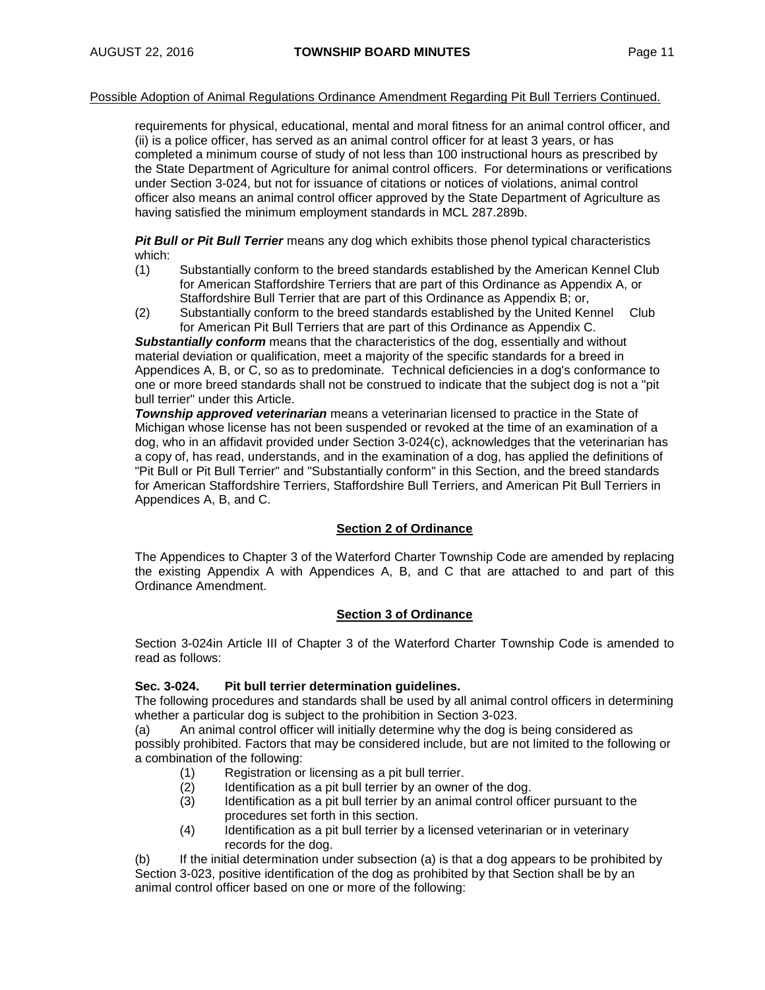requirements for physical, educational, mental and moral fitness for an animal control officer, and (ii) is a police officer, has served as an animal control officer for at least 3 years, or has completed a minimum course of study of not less than 100 instructional hours as prescribed by the State Department of Agriculture for animal control officers. For determinations or verifications under Section 3-024, but not for issuance of citations or notices of violations, animal control officer also means an animal control officer approved by the State Department of Agriculture as having satisfied the minimum employment standards in MCL 287.289b.

*Pit Bull or Pit Bull Terrier* means any dog which exhibits those phenol typical characteristics which:

- (1) Substantially conform to the breed standards established by the American Kennel Club for American Staffordshire Terriers that are part of this Ordinance as Appendix A, or Staffordshire Bull Terrier that are part of this Ordinance as Appendix B; or,
- (2) Substantially conform to the breed standards established by the United Kennel Club for American Pit Bull Terriers that are part of this Ordinance as Appendix C.

*Substantially conform* means that the characteristics of the dog, essentially and without material deviation or qualification, meet a majority of the specific standards for a breed in Appendices A, B, or C, so as to predominate. Technical deficiencies in a dog's conformance to one or more breed standards shall not be construed to indicate that the subject dog is not a "pit bull terrier" under this Article.

*Township approved veterinarian* means a veterinarian licensed to practice in the State of Michigan whose license has not been suspended or revoked at the time of an examination of a dog, who in an affidavit provided under Section 3-024(c), acknowledges that the veterinarian has a copy of, has read, understands, and in the examination of a dog, has applied the definitions of "Pit Bull or Pit Bull Terrier" and "Substantially conform" in this Section, and the breed standards for American Staffordshire Terriers, Staffordshire Bull Terriers, and American Pit Bull Terriers in Appendices A, B, and C.

# **Section 2 of Ordinance**

The Appendices to Chapter 3 of the Waterford Charter Township Code are amended by replacing the existing Appendix A with Appendices A, B, and C that are attached to and part of this Ordinance Amendment.

# **Section 3 of Ordinance**

Section 3-024in Article III of Chapter 3 of the Waterford Charter Township Code is amended to read as follows:

# **Sec. 3-024. Pit bull terrier determination guidelines.**

The following procedures and standards shall be used by all animal control officers in determining whether a particular dog is subject to the prohibition in Section 3-023.

(a) An animal control officer will initially determine why the dog is being considered as possibly prohibited. Factors that may be considered include, but are not limited to the following or a combination of the following:

- (1) Registration or licensing as a pit bull terrier.<br>(2) Identification as a pit bull terrier by an owner
- Identification as a pit bull terrier by an owner of the dog.
- (3) Identification as a pit bull terrier by an animal control officer pursuant to the procedures set forth in this section.
- (4) Identification as a pit bull terrier by a licensed veterinarian or in veterinary records for the dog.

(b) If the initial determination under subsection (a) is that a dog appears to be prohibited by Section 3-023, positive identification of the dog as prohibited by that Section shall be by an animal control officer based on one or more of the following: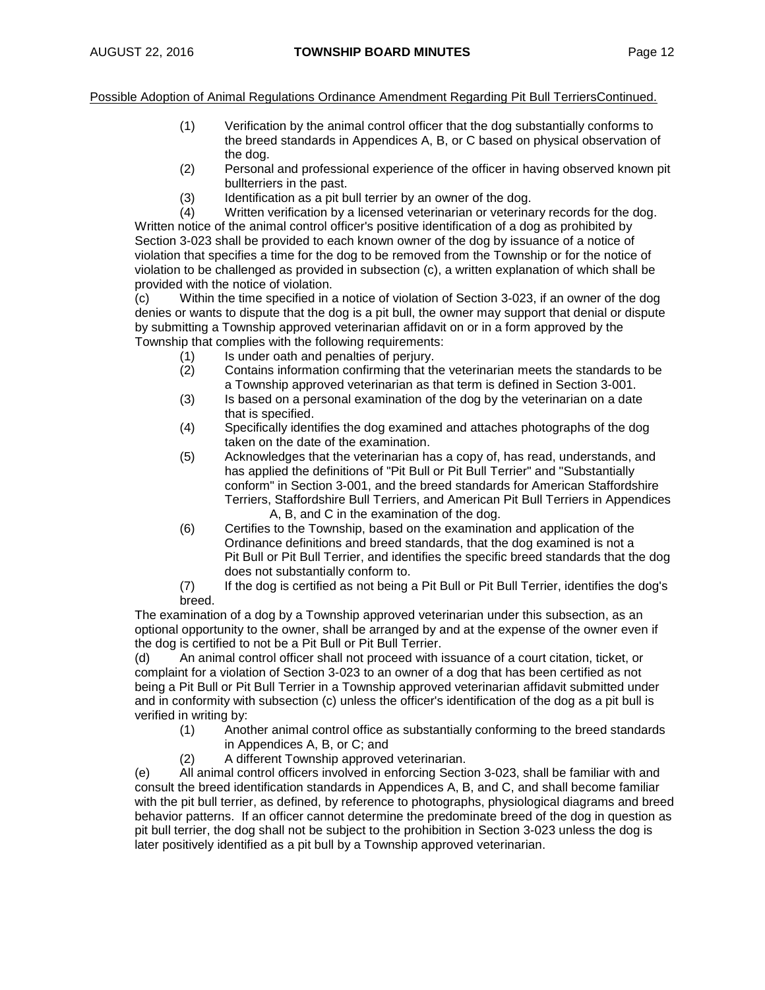- (1) Verification by the animal control officer that the dog substantially conforms to the breed standards in Appendices A, B, or C based on physical observation of the dog.
- (2) Personal and professional experience of the officer in having observed known pit bullterriers in the past.
- (3) Identification as a pit bull terrier by an owner of the dog.

(4) Written verification by a licensed veterinarian or veterinary records for the dog. Written notice of the animal control officer's positive identification of a dog as prohibited by Section 3-023 shall be provided to each known owner of the dog by issuance of a notice of violation that specifies a time for the dog to be removed from the Township or for the notice of violation to be challenged as provided in subsection (c), a written explanation of which shall be provided with the notice of violation.

(c) Within the time specified in a notice of violation of Section 3-023, if an owner of the dog denies or wants to dispute that the dog is a pit bull, the owner may support that denial or dispute by submitting a Township approved veterinarian affidavit on or in a form approved by the Township that complies with the following requirements:

- (1) Is under oath and penalties of perjury.
- (2) Contains information confirming that the veterinarian meets the standards to be a Township approved veterinarian as that term is defined in Section 3-001.
- (3) Is based on a personal examination of the dog by the veterinarian on a date that is specified.
- (4) Specifically identifies the dog examined and attaches photographs of the dog taken on the date of the examination.
- (5) Acknowledges that the veterinarian has a copy of, has read, understands, and has applied the definitions of "Pit Bull or Pit Bull Terrier" and "Substantially conform" in Section 3-001, and the breed standards for American Staffordshire Terriers, Staffordshire Bull Terriers, and American Pit Bull Terriers in Appendices A, B, and C in the examination of the dog.
- (6) Certifies to the Township, based on the examination and application of the Ordinance definitions and breed standards, that the dog examined is not a Pit Bull or Pit Bull Terrier, and identifies the specific breed standards that the dog does not substantially conform to.

(7) If the dog is certified as not being a Pit Bull or Pit Bull Terrier, identifies the dog's breed.

The examination of a dog by a Township approved veterinarian under this subsection, as an optional opportunity to the owner, shall be arranged by and at the expense of the owner even if the dog is certified to not be a Pit Bull or Pit Bull Terrier.

(d) An animal control officer shall not proceed with issuance of a court citation, ticket, or complaint for a violation of Section 3-023 to an owner of a dog that has been certified as not being a Pit Bull or Pit Bull Terrier in a Township approved veterinarian affidavit submitted under and in conformity with subsection (c) unless the officer's identification of the dog as a pit bull is verified in writing by:

- (1) Another animal control office as substantially conforming to the breed standards in Appendices A, B, or C; and
- (2) A different Township approved veterinarian.

(e) All animal control officers involved in enforcing Section 3-023, shall be familiar with and consult the breed identification standards in Appendices A, B, and C, and shall become familiar with the pit bull terrier, as defined, by reference to photographs, physiological diagrams and breed behavior patterns. If an officer cannot determine the predominate breed of the dog in question as pit bull terrier, the dog shall not be subject to the prohibition in Section 3-023 unless the dog is later positively identified as a pit bull by a Township approved veterinarian.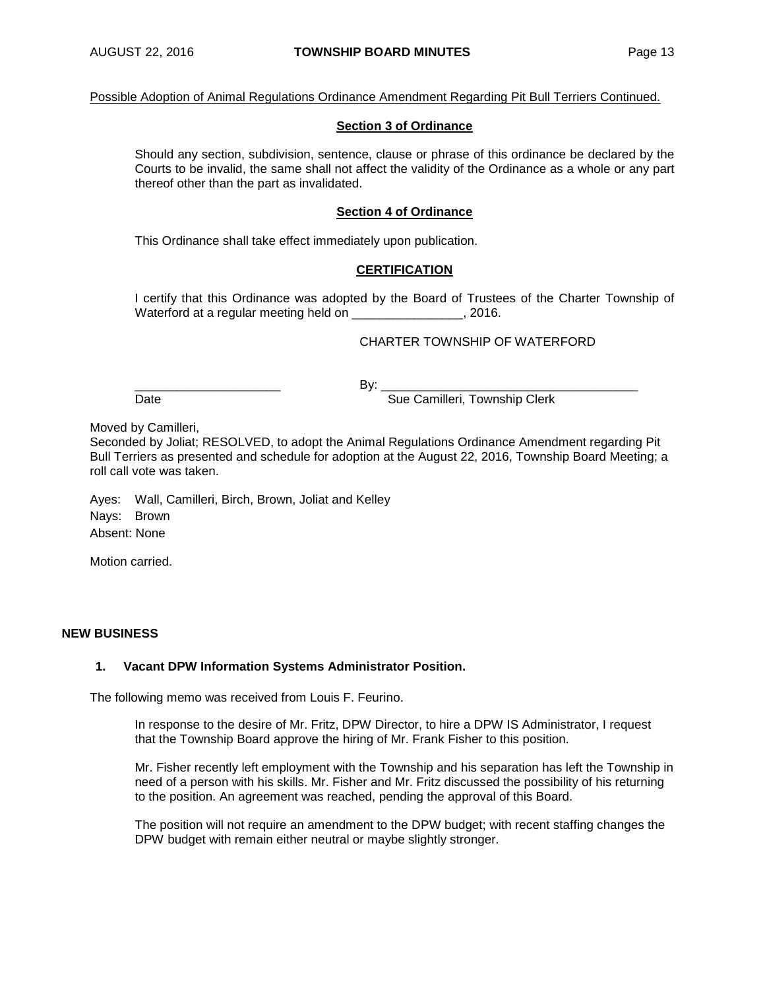#### **Section 3 of Ordinance**

Should any section, subdivision, sentence, clause or phrase of this ordinance be declared by the Courts to be invalid, the same shall not affect the validity of the Ordinance as a whole or any part thereof other than the part as invalidated.

#### **Section 4 of Ordinance**

This Ordinance shall take effect immediately upon publication.

#### **CERTIFICATION**

I certify that this Ordinance was adopted by the Board of Trustees of the Charter Township of Waterford at a regular meeting held on  $\sim$  . 2016.

# CHARTER TOWNSHIP OF WATERFORD

\_\_\_\_\_\_\_\_\_\_\_\_\_\_\_\_\_\_\_\_\_ By: \_\_\_\_\_\_\_\_\_\_\_\_\_\_\_\_\_\_\_\_\_\_\_\_\_\_\_\_\_\_\_\_\_\_\_\_\_

Date **Sue Camilleri, Township Clerk** Sue Camilleri, Township Clerk

Moved by Camilleri,

Seconded by Joliat; RESOLVED, to adopt the Animal Regulations Ordinance Amendment regarding Pit Bull Terriers as presented and schedule for adoption at the August 22, 2016, Township Board Meeting; a roll call vote was taken.

Ayes: Wall, Camilleri, Birch, Brown, Joliat and Kelley Nays: Brown Absent: None

Motion carried.

#### **NEW BUSINESS**

#### **1. Vacant DPW Information Systems Administrator Position.**

The following memo was received from Louis F. Feurino.

In response to the desire of Mr. Fritz, DPW Director, to hire a DPW IS Administrator, I request that the Township Board approve the hiring of Mr. Frank Fisher to this position.

Mr. Fisher recently left employment with the Township and his separation has left the Township in need of a person with his skills. Mr. Fisher and Mr. Fritz discussed the possibility of his returning to the position. An agreement was reached, pending the approval of this Board.

The position will not require an amendment to the DPW budget; with recent staffing changes the DPW budget with remain either neutral or maybe slightly stronger.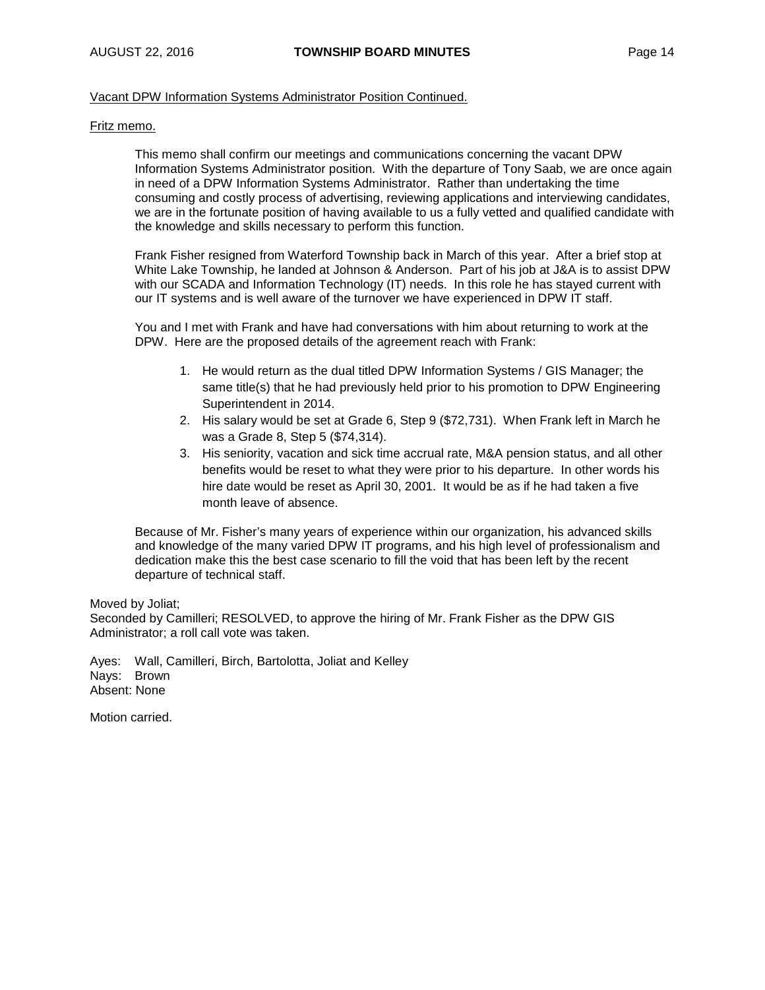#### Vacant DPW Information Systems Administrator Position Continued.

#### Fritz memo.

This memo shall confirm our meetings and communications concerning the vacant DPW Information Systems Administrator position. With the departure of Tony Saab, we are once again in need of a DPW Information Systems Administrator. Rather than undertaking the time consuming and costly process of advertising, reviewing applications and interviewing candidates, we are in the fortunate position of having available to us a fully vetted and qualified candidate with the knowledge and skills necessary to perform this function.

Frank Fisher resigned from Waterford Township back in March of this year. After a brief stop at White Lake Township, he landed at Johnson & Anderson. Part of his job at J&A is to assist DPW with our SCADA and Information Technology (IT) needs. In this role he has stayed current with our IT systems and is well aware of the turnover we have experienced in DPW IT staff.

You and I met with Frank and have had conversations with him about returning to work at the DPW. Here are the proposed details of the agreement reach with Frank:

- 1. He would return as the dual titled DPW Information Systems / GIS Manager; the same title(s) that he had previously held prior to his promotion to DPW Engineering Superintendent in 2014.
- 2. His salary would be set at Grade 6, Step 9 (\$72,731). When Frank left in March he was a Grade 8, Step 5 (\$74,314).
- 3. His seniority, vacation and sick time accrual rate, M&A pension status, and all other benefits would be reset to what they were prior to his departure. In other words his hire date would be reset as April 30, 2001. It would be as if he had taken a five month leave of absence.

Because of Mr. Fisher's many years of experience within our organization, his advanced skills and knowledge of the many varied DPW IT programs, and his high level of professionalism and dedication make this the best case scenario to fill the void that has been left by the recent departure of technical staff.

Moved by Joliat;

Seconded by Camilleri; RESOLVED, to approve the hiring of Mr. Frank Fisher as the DPW GIS Administrator; a roll call vote was taken.

Ayes: Wall, Camilleri, Birch, Bartolotta, Joliat and Kelley Nays: Brown Absent: None

Motion carried.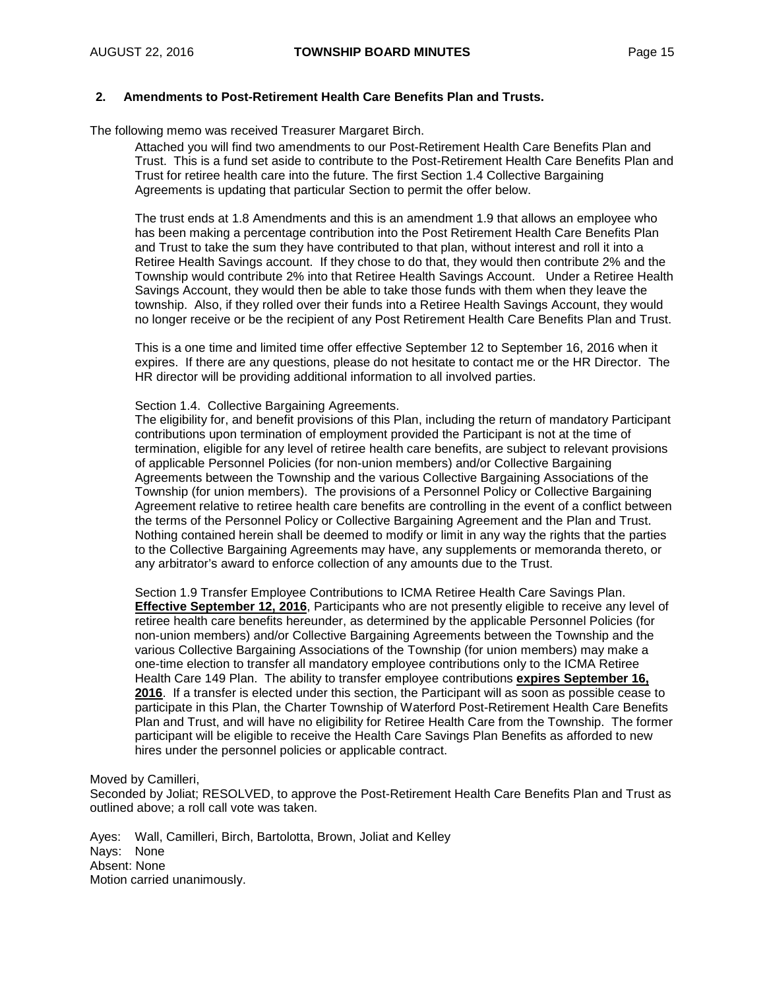### **2. Amendments to Post-Retirement Health Care Benefits Plan and Trusts.**

The following memo was received Treasurer Margaret Birch.

Attached you will find two amendments to our Post-Retirement Health Care Benefits Plan and Trust. This is a fund set aside to contribute to the Post-Retirement Health Care Benefits Plan and Trust for retiree health care into the future. The first Section 1.4 Collective Bargaining Agreements is updating that particular Section to permit the offer below.

The trust ends at 1.8 Amendments and this is an amendment 1.9 that allows an employee who has been making a percentage contribution into the Post Retirement Health Care Benefits Plan and Trust to take the sum they have contributed to that plan, without interest and roll it into a Retiree Health Savings account. If they chose to do that, they would then contribute 2% and the Township would contribute 2% into that Retiree Health Savings Account. Under a Retiree Health Savings Account, they would then be able to take those funds with them when they leave the township. Also, if they rolled over their funds into a Retiree Health Savings Account, they would no longer receive or be the recipient of any Post Retirement Health Care Benefits Plan and Trust.

This is a one time and limited time offer effective September 12 to September 16, 2016 when it expires. If there are any questions, please do not hesitate to contact me or the HR Director. The HR director will be providing additional information to all involved parties.

#### Section 1.4. Collective Bargaining Agreements.

The eligibility for, and benefit provisions of this Plan, including the return of mandatory Participant contributions upon termination of employment provided the Participant is not at the time of termination, eligible for any level of retiree health care benefits, are subject to relevant provisions of applicable Personnel Policies (for non-union members) and/or Collective Bargaining Agreements between the Township and the various Collective Bargaining Associations of the Township (for union members). The provisions of a Personnel Policy or Collective Bargaining Agreement relative to retiree health care benefits are controlling in the event of a conflict between the terms of the Personnel Policy or Collective Bargaining Agreement and the Plan and Trust. Nothing contained herein shall be deemed to modify or limit in any way the rights that the parties to the Collective Bargaining Agreements may have, any supplements or memoranda thereto, or any arbitrator's award to enforce collection of any amounts due to the Trust.

Section 1.9 Transfer Employee Contributions to ICMA Retiree Health Care Savings Plan. **Effective September 12, 2016**, Participants who are not presently eligible to receive any level of retiree health care benefits hereunder, as determined by the applicable Personnel Policies (for non-union members) and/or Collective Bargaining Agreements between the Township and the various Collective Bargaining Associations of the Township (for union members) may make a one-time election to transfer all mandatory employee contributions only to the ICMA Retiree Health Care 149 Plan. The ability to transfer employee contributions **expires September 16, 2016**. If a transfer is elected under this section, the Participant will as soon as possible cease to participate in this Plan, the Charter Township of Waterford Post-Retirement Health Care Benefits Plan and Trust, and will have no eligibility for Retiree Health Care from the Township. The former participant will be eligible to receive the Health Care Savings Plan Benefits as afforded to new hires under the personnel policies or applicable contract.

#### Moved by Camilleri,

Seconded by Joliat; RESOLVED, to approve the Post-Retirement Health Care Benefits Plan and Trust as outlined above; a roll call vote was taken.

Ayes: Wall, Camilleri, Birch, Bartolotta, Brown, Joliat and Kelley Nays: None Absent: None Motion carried unanimously.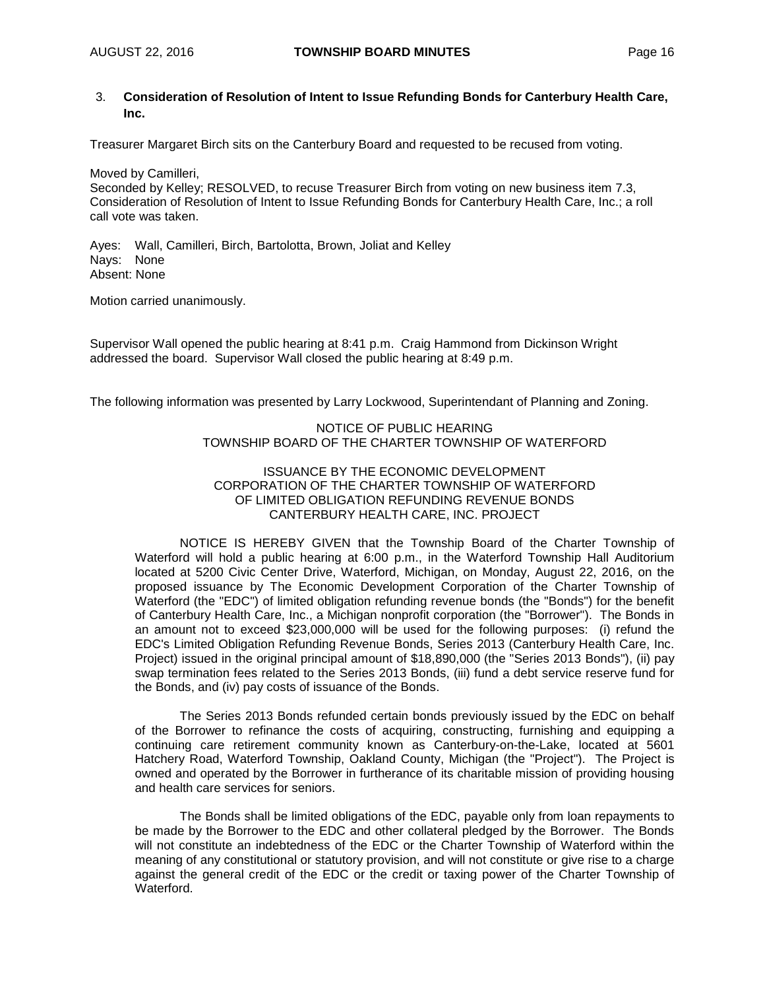Treasurer Margaret Birch sits on the Canterbury Board and requested to be recused from voting.

Moved by Camilleri,

Seconded by Kelley; RESOLVED, to recuse Treasurer Birch from voting on new business item 7.3, Consideration of Resolution of Intent to Issue Refunding Bonds for Canterbury Health Care, Inc.; a roll call vote was taken.

Ayes: Wall, Camilleri, Birch, Bartolotta, Brown, Joliat and Kelley Nays: None Absent: None

Motion carried unanimously.

Supervisor Wall opened the public hearing at 8:41 p.m. Craig Hammond from Dickinson Wright addressed the board. Supervisor Wall closed the public hearing at 8:49 p.m.

The following information was presented by Larry Lockwood, Superintendant of Planning and Zoning.

NOTICE OF PUBLIC HEARING TOWNSHIP BOARD OF THE CHARTER TOWNSHIP OF WATERFORD

#### ISSUANCE BY THE ECONOMIC DEVELOPMENT CORPORATION OF THE CHARTER TOWNSHIP OF WATERFORD OF LIMITED OBLIGATION REFUNDING REVENUE BONDS CANTERBURY HEALTH CARE, INC. PROJECT

NOTICE IS HEREBY GIVEN that the Township Board of the Charter Township of Waterford will hold a public hearing at 6:00 p.m., in the Waterford Township Hall Auditorium located at 5200 Civic Center Drive, Waterford, Michigan, on Monday, August 22, 2016, on the proposed issuance by The Economic Development Corporation of the Charter Township of Waterford (the "EDC") of limited obligation refunding revenue bonds (the "Bonds") for the benefit of Canterbury Health Care, Inc., a Michigan nonprofit corporation (the "Borrower"). The Bonds in an amount not to exceed \$23,000,000 will be used for the following purposes: (i) refund the EDC's Limited Obligation Refunding Revenue Bonds, Series 2013 (Canterbury Health Care, Inc. Project) issued in the original principal amount of \$18,890,000 (the "Series 2013 Bonds"), (ii) pay swap termination fees related to the Series 2013 Bonds, (iii) fund a debt service reserve fund for the Bonds, and (iv) pay costs of issuance of the Bonds.

The Series 2013 Bonds refunded certain bonds previously issued by the EDC on behalf of the Borrower to refinance the costs of acquiring, constructing, furnishing and equipping a continuing care retirement community known as Canterbury-on-the-Lake, located at 5601 Hatchery Road, Waterford Township, Oakland County, Michigan (the "Project"). The Project is owned and operated by the Borrower in furtherance of its charitable mission of providing housing and health care services for seniors.

The Bonds shall be limited obligations of the EDC, payable only from loan repayments to be made by the Borrower to the EDC and other collateral pledged by the Borrower. The Bonds will not constitute an indebtedness of the EDC or the Charter Township of Waterford within the meaning of any constitutional or statutory provision, and will not constitute or give rise to a charge against the general credit of the EDC or the credit or taxing power of the Charter Township of Waterford.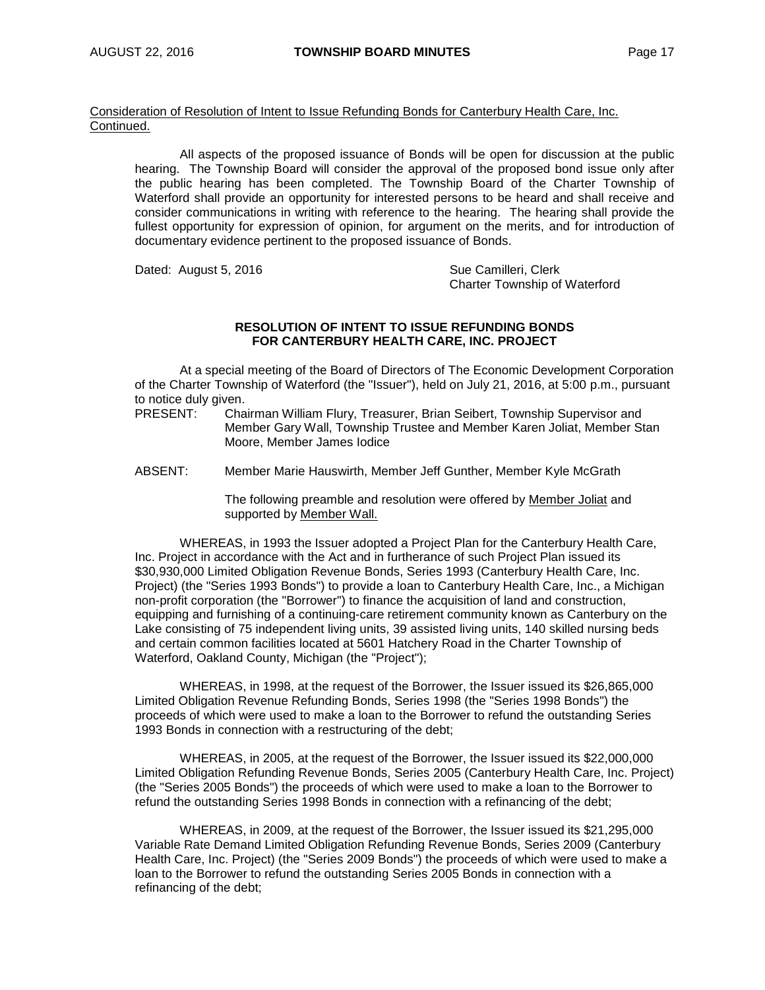All aspects of the proposed issuance of Bonds will be open for discussion at the public hearing. The Township Board will consider the approval of the proposed bond issue only after the public hearing has been completed. The Township Board of the Charter Township of Waterford shall provide an opportunity for interested persons to be heard and shall receive and consider communications in writing with reference to the hearing. The hearing shall provide the fullest opportunity for expression of opinion, for argument on the merits, and for introduction of documentary evidence pertinent to the proposed issuance of Bonds.

Dated: August 5, 2016 Sue Camilleri, Clerk

Charter Township of Waterford

#### **RESOLUTION OF INTENT TO ISSUE REFUNDING BONDS FOR CANTERBURY HEALTH CARE, INC. PROJECT**

At a special meeting of the Board of Directors of The Economic Development Corporation of the Charter Township of Waterford (the "Issuer"), held on July 21, 2016, at 5:00 p.m., pursuant to notice duly given.<br>PRESENT: Cha

Chairman William Flury, Treasurer, Brian Seibert, Township Supervisor and Member Gary Wall, Township Trustee and Member Karen Joliat, Member Stan Moore, Member James Iodice

ABSENT: Member Marie Hauswirth, Member Jeff Gunther, Member Kyle McGrath

The following preamble and resolution were offered by Member Joliat and supported by Member Wall.

WHEREAS, in 1993 the Issuer adopted a Project Plan for the Canterbury Health Care, Inc. Project in accordance with the Act and in furtherance of such Project Plan issued its \$30,930,000 Limited Obligation Revenue Bonds, Series 1993 (Canterbury Health Care, Inc. Project) (the "Series 1993 Bonds") to provide a loan to Canterbury Health Care, Inc., a Michigan non-profit corporation (the "Borrower") to finance the acquisition of land and construction, equipping and furnishing of a continuing-care retirement community known as Canterbury on the Lake consisting of 75 independent living units, 39 assisted living units, 140 skilled nursing beds and certain common facilities located at 5601 Hatchery Road in the Charter Township of Waterford, Oakland County, Michigan (the "Project");

WHEREAS, in 1998, at the request of the Borrower, the Issuer issued its \$26,865,000 Limited Obligation Revenue Refunding Bonds, Series 1998 (the "Series 1998 Bonds") the proceeds of which were used to make a loan to the Borrower to refund the outstanding Series 1993 Bonds in connection with a restructuring of the debt;

WHEREAS, in 2005, at the request of the Borrower, the Issuer issued its \$22,000,000 Limited Obligation Refunding Revenue Bonds, Series 2005 (Canterbury Health Care, Inc. Project) (the "Series 2005 Bonds") the proceeds of which were used to make a loan to the Borrower to refund the outstanding Series 1998 Bonds in connection with a refinancing of the debt;

WHEREAS, in 2009, at the request of the Borrower, the Issuer issued its \$21,295,000 Variable Rate Demand Limited Obligation Refunding Revenue Bonds, Series 2009 (Canterbury Health Care, Inc. Project) (the "Series 2009 Bonds") the proceeds of which were used to make a loan to the Borrower to refund the outstanding Series 2005 Bonds in connection with a refinancing of the debt;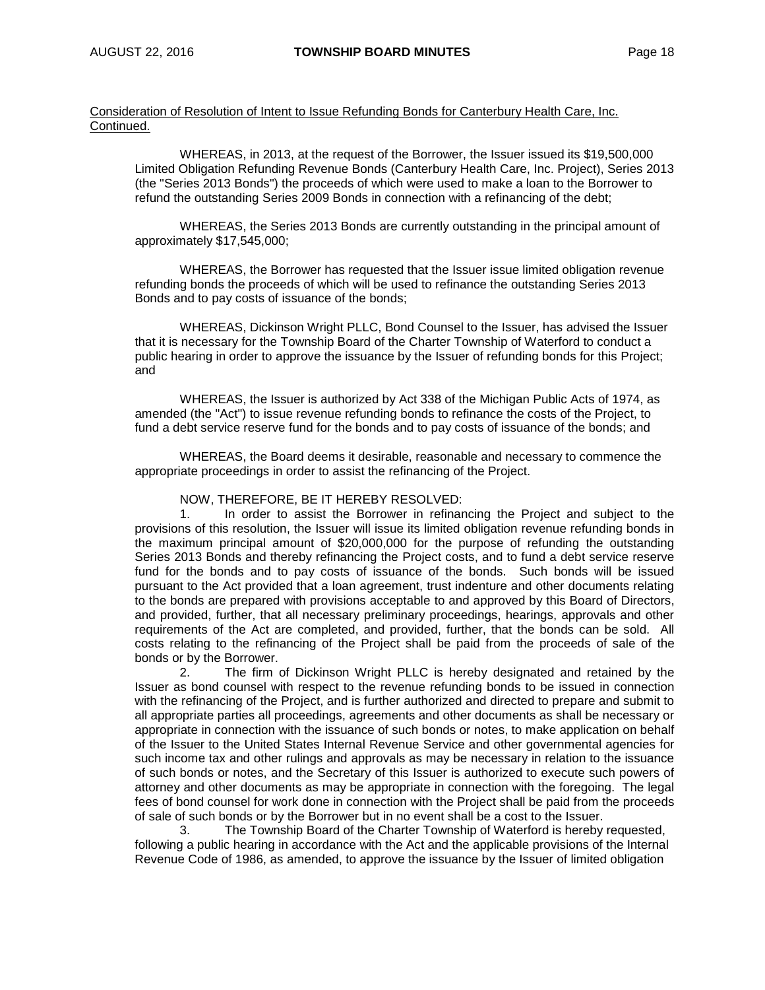WHEREAS, in 2013, at the request of the Borrower, the Issuer issued its \$19,500,000 Limited Obligation Refunding Revenue Bonds (Canterbury Health Care, Inc. Project), Series 2013 (the "Series 2013 Bonds") the proceeds of which were used to make a loan to the Borrower to refund the outstanding Series 2009 Bonds in connection with a refinancing of the debt;

WHEREAS, the Series 2013 Bonds are currently outstanding in the principal amount of approximately \$17,545,000;

WHEREAS, the Borrower has requested that the Issuer issue limited obligation revenue refunding bonds the proceeds of which will be used to refinance the outstanding Series 2013 Bonds and to pay costs of issuance of the bonds;

WHEREAS, Dickinson Wright PLLC, Bond Counsel to the Issuer, has advised the Issuer that it is necessary for the Township Board of the Charter Township of Waterford to conduct a public hearing in order to approve the issuance by the Issuer of refunding bonds for this Project; and

WHEREAS, the Issuer is authorized by Act 338 of the Michigan Public Acts of 1974, as amended (the "Act") to issue revenue refunding bonds to refinance the costs of the Project, to fund a debt service reserve fund for the bonds and to pay costs of issuance of the bonds; and

WHEREAS, the Board deems it desirable, reasonable and necessary to commence the appropriate proceedings in order to assist the refinancing of the Project.

#### NOW, THEREFORE, BE IT HEREBY RESOLVED:

1. In order to assist the Borrower in refinancing the Project and subject to the provisions of this resolution, the Issuer will issue its limited obligation revenue refunding bonds in the maximum principal amount of \$20,000,000 for the purpose of refunding the outstanding Series 2013 Bonds and thereby refinancing the Project costs, and to fund a debt service reserve fund for the bonds and to pay costs of issuance of the bonds. Such bonds will be issued pursuant to the Act provided that a loan agreement, trust indenture and other documents relating to the bonds are prepared with provisions acceptable to and approved by this Board of Directors, and provided, further, that all necessary preliminary proceedings, hearings, approvals and other requirements of the Act are completed, and provided, further, that the bonds can be sold. All costs relating to the refinancing of the Project shall be paid from the proceeds of sale of the bonds or by the Borrower.

2. The firm of Dickinson Wright PLLC is hereby designated and retained by the Issuer as bond counsel with respect to the revenue refunding bonds to be issued in connection with the refinancing of the Project, and is further authorized and directed to prepare and submit to all appropriate parties all proceedings, agreements and other documents as shall be necessary or appropriate in connection with the issuance of such bonds or notes, to make application on behalf of the Issuer to the United States Internal Revenue Service and other governmental agencies for such income tax and other rulings and approvals as may be necessary in relation to the issuance of such bonds or notes, and the Secretary of this Issuer is authorized to execute such powers of attorney and other documents as may be appropriate in connection with the foregoing. The legal fees of bond counsel for work done in connection with the Project shall be paid from the proceeds of sale of such bonds or by the Borrower but in no event shall be a cost to the Issuer.

3. The Township Board of the Charter Township of Waterford is hereby requested, following a public hearing in accordance with the Act and the applicable provisions of the Internal Revenue Code of 1986, as amended, to approve the issuance by the Issuer of limited obligation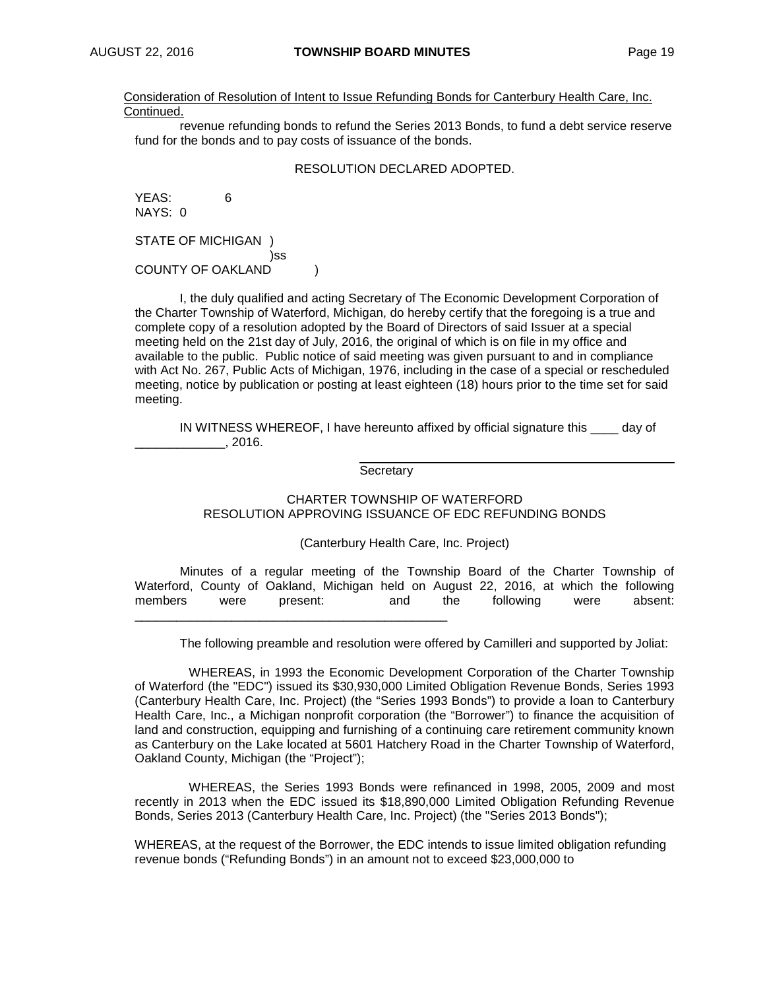revenue refunding bonds to refund the Series 2013 Bonds, to fund a debt service reserve fund for the bonds and to pay costs of issuance of the bonds.

#### RESOLUTION DECLARED ADOPTED.

YEAS: 6 NAYS: 0

STATE OF MICHIGAN ) )ss COUNTY OF OAKLAND (

I, the duly qualified and acting Secretary of The Economic Development Corporation of the Charter Township of Waterford, Michigan, do hereby certify that the foregoing is a true and complete copy of a resolution adopted by the Board of Directors of said Issuer at a special meeting held on the 21st day of July, 2016, the original of which is on file in my office and available to the public. Public notice of said meeting was given pursuant to and in compliance with Act No. 267, Public Acts of Michigan, 1976, including in the case of a special or rescheduled meeting, notice by publication or posting at least eighteen (18) hours prior to the time set for said meeting.

IN WITNESS WHEREOF, I have hereunto affixed by official signature this \_\_\_\_ day of  $.2016.$ 

#### **Secretary**

#### CHARTER TOWNSHIP OF WATERFORD RESOLUTION APPROVING ISSUANCE OF EDC REFUNDING BONDS

#### (Canterbury Health Care, Inc. Project)

Minutes of a regular meeting of the Township Board of the Charter Township of Waterford, County of Oakland, Michigan held on August 22, 2016, at which the following members were present: and the following were absent: \_\_\_\_\_\_\_\_\_\_\_\_\_\_\_\_\_\_\_\_\_\_\_\_\_\_\_\_\_\_\_\_\_\_\_\_\_\_\_\_\_\_\_\_\_

The following preamble and resolution were offered by Camilleri and supported by Joliat:

WHEREAS, in 1993 the Economic Development Corporation of the Charter Township of Waterford (the "EDC") issued its \$30,930,000 Limited Obligation Revenue Bonds, Series 1993 (Canterbury Health Care, Inc. Project) (the "Series 1993 Bonds") to provide a loan to Canterbury Health Care, Inc., a Michigan nonprofit corporation (the "Borrower") to finance the acquisition of land and construction, equipping and furnishing of a continuing care retirement community known as Canterbury on the Lake located at 5601 Hatchery Road in the Charter Township of Waterford, Oakland County, Michigan (the "Project");

WHEREAS, the Series 1993 Bonds were refinanced in 1998, 2005, 2009 and most recently in 2013 when the EDC issued its \$18,890,000 Limited Obligation Refunding Revenue Bonds, Series 2013 (Canterbury Health Care, Inc. Project) (the "Series 2013 Bonds");

WHEREAS, at the request of the Borrower, the EDC intends to issue limited obligation refunding revenue bonds ("Refunding Bonds") in an amount not to exceed \$23,000,000 to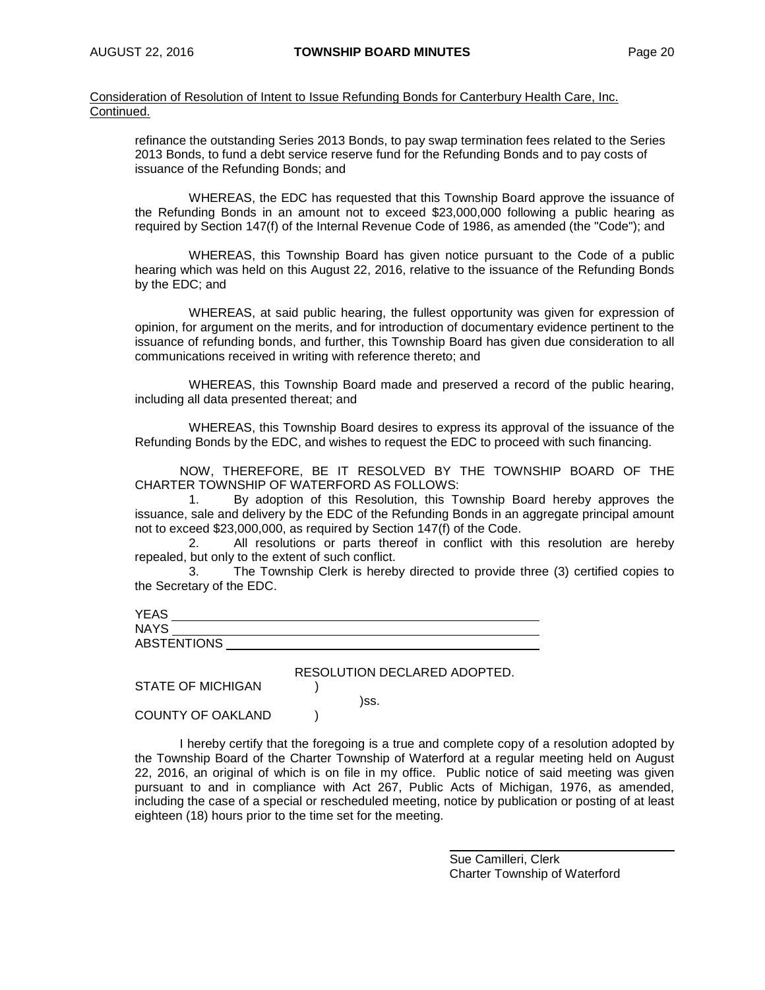refinance the outstanding Series 2013 Bonds, to pay swap termination fees related to the Series 2013 Bonds, to fund a debt service reserve fund for the Refunding Bonds and to pay costs of issuance of the Refunding Bonds; and

WHEREAS, the EDC has requested that this Township Board approve the issuance of the Refunding Bonds in an amount not to exceed \$23,000,000 following a public hearing as required by Section 147(f) of the Internal Revenue Code of 1986, as amended (the "Code"); and

WHEREAS, this Township Board has given notice pursuant to the Code of a public hearing which was held on this August 22, 2016, relative to the issuance of the Refunding Bonds by the EDC; and

WHEREAS, at said public hearing, the fullest opportunity was given for expression of opinion, for argument on the merits, and for introduction of documentary evidence pertinent to the issuance of refunding bonds, and further, this Township Board has given due consideration to all communications received in writing with reference thereto; and

WHEREAS, this Township Board made and preserved a record of the public hearing, including all data presented thereat; and

WHEREAS, this Township Board desires to express its approval of the issuance of the Refunding Bonds by the EDC, and wishes to request the EDC to proceed with such financing.

NOW, THEREFORE, BE IT RESOLVED BY THE TOWNSHIP BOARD OF THE CHARTER TOWNSHIP OF WATERFORD AS FOLLOWS:

1. By adoption of this Resolution, this Township Board hereby approves the issuance, sale and delivery by the EDC of the Refunding Bonds in an aggregate principal amount not to exceed \$23,000,000, as required by Section 147(f) of the Code.

2. All resolutions or parts thereof in conflict with this resolution are hereby repealed, but only to the extent of such conflict.

3. The Township Clerk is hereby directed to provide three (3) certified copies to the Secretary of the EDC.

| <b>YEAS</b>        |  |  |
|--------------------|--|--|
| <b>NAYS</b>        |  |  |
| <b>ABSTENTIONS</b> |  |  |
|                    |  |  |

RESOLUTION DECLARED ADOPTED.

STATE OF MICHIGAN (1)

)ss.

COUNTY OF OAKLAND )

I hereby certify that the foregoing is a true and complete copy of a resolution adopted by the Township Board of the Charter Township of Waterford at a regular meeting held on August 22, 2016, an original of which is on file in my office. Public notice of said meeting was given pursuant to and in compliance with Act 267, Public Acts of Michigan, 1976, as amended, including the case of a special or rescheduled meeting, notice by publication or posting of at least eighteen (18) hours prior to the time set for the meeting.

> Sue Camilleri, Clerk Charter Township of Waterford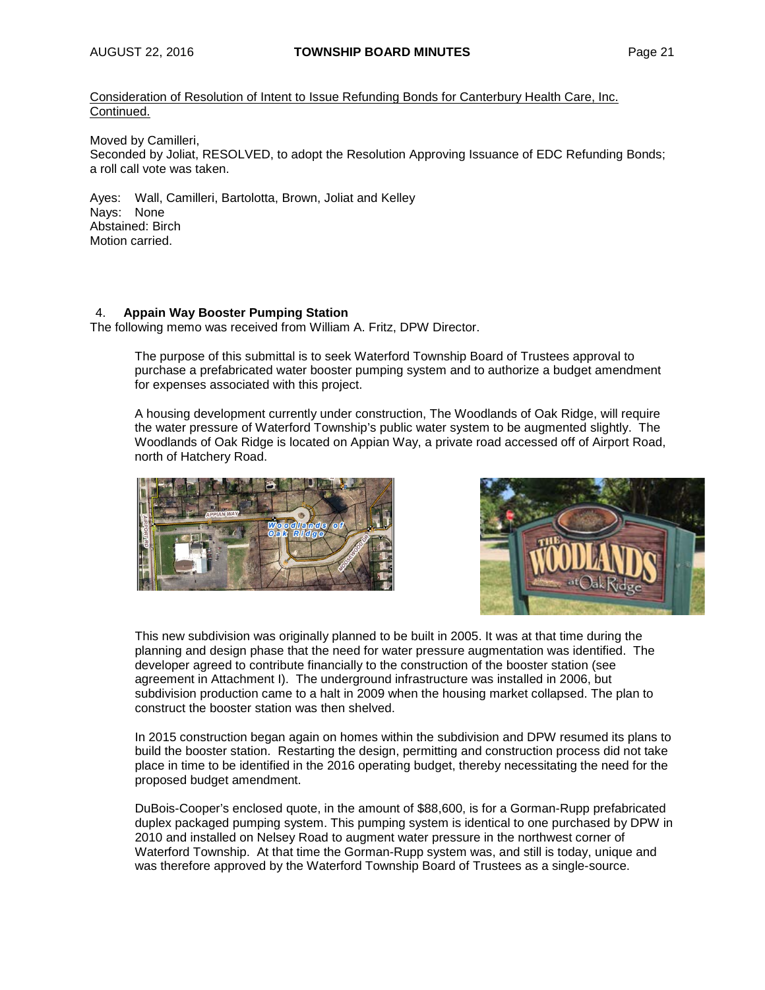Moved by Camilleri,

Seconded by Joliat, RESOLVED, to adopt the Resolution Approving Issuance of EDC Refunding Bonds; a roll call vote was taken.

Ayes: Wall, Camilleri, Bartolotta, Brown, Joliat and Kelley Nays: None Abstained: Birch Motion carried.

### 4. **Appain Way Booster Pumping Station**

The following memo was received from William A. Fritz, DPW Director.

The purpose of this submittal is to seek Waterford Township Board of Trustees approval to purchase a prefabricated water booster pumping system and to authorize a budget amendment for expenses associated with this project.

A housing development currently under construction, The Woodlands of Oak Ridge, will require the water pressure of Waterford Township's public water system to be augmented slightly. The Woodlands of Oak Ridge is located on Appian Way, a private road accessed off of Airport Road, north of Hatchery Road.





This new subdivision was originally planned to be built in 2005. It was at that time during the planning and design phase that the need for water pressure augmentation was identified. The developer agreed to contribute financially to the construction of the booster station (see agreement in Attachment I). The underground infrastructure was installed in 2006, but subdivision production came to a halt in 2009 when the housing market collapsed. The plan to construct the booster station was then shelved.

In 2015 construction began again on homes within the subdivision and DPW resumed its plans to build the booster station. Restarting the design, permitting and construction process did not take place in time to be identified in the 2016 operating budget, thereby necessitating the need for the proposed budget amendment.

DuBois-Cooper's enclosed quote, in the amount of \$88,600, is for a Gorman-Rupp prefabricated duplex packaged pumping system. This pumping system is identical to one purchased by DPW in 2010 and installed on Nelsey Road to augment water pressure in the northwest corner of Waterford Township. At that time the Gorman-Rupp system was, and still is today, unique and was therefore approved by the Waterford Township Board of Trustees as a single-source.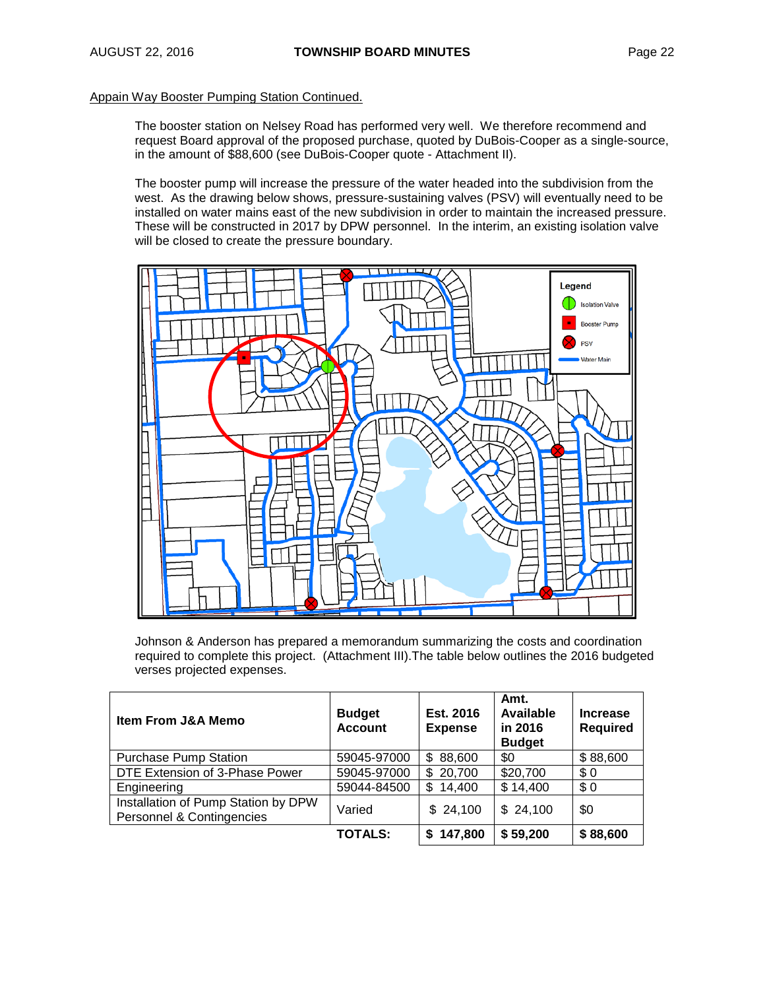# Appain Way Booster Pumping Station Continued.

The booster station on Nelsey Road has performed very well. We therefore recommend and request Board approval of the proposed purchase, quoted by DuBois-Cooper as a single-source, in the amount of \$88,600 (see DuBois-Cooper quote - Attachment II).

The booster pump will increase the pressure of the water headed into the subdivision from the west. As the drawing below shows, pressure-sustaining valves (PSV) will eventually need to be installed on water mains east of the new subdivision in order to maintain the increased pressure. These will be constructed in 2017 by DPW personnel. In the interim, an existing isolation valve will be closed to create the pressure boundary.



Johnson & Anderson has prepared a memorandum summarizing the costs and coordination required to complete this project. (Attachment III).The table below outlines the 2016 budgeted verses projected expenses.

| <b>Item From J&amp;A Memo</b>                                    | <b>Budget</b><br><b>Account</b> | Est. 2016<br><b>Expense</b> | Amt.<br>Available<br>in 2016<br><b>Budget</b> | <b>Increase</b><br><b>Required</b> |
|------------------------------------------------------------------|---------------------------------|-----------------------------|-----------------------------------------------|------------------------------------|
| <b>Purchase Pump Station</b>                                     | 59045-97000                     | \$88,600                    | \$0                                           | \$88,600                           |
| DTE Extension of 3-Phase Power                                   | 59045-97000                     | \$20,700                    | \$20,700                                      | \$0                                |
| Engineering                                                      | 59044-84500                     | 14,400<br>\$                | \$14,400                                      | \$0                                |
| Installation of Pump Station by DPW<br>Personnel & Contingencies | Varied                          | \$24,100                    | \$24,100                                      | \$0                                |
|                                                                  | <b>TOTALS:</b>                  | 147,800                     | \$59,200                                      | \$88,600                           |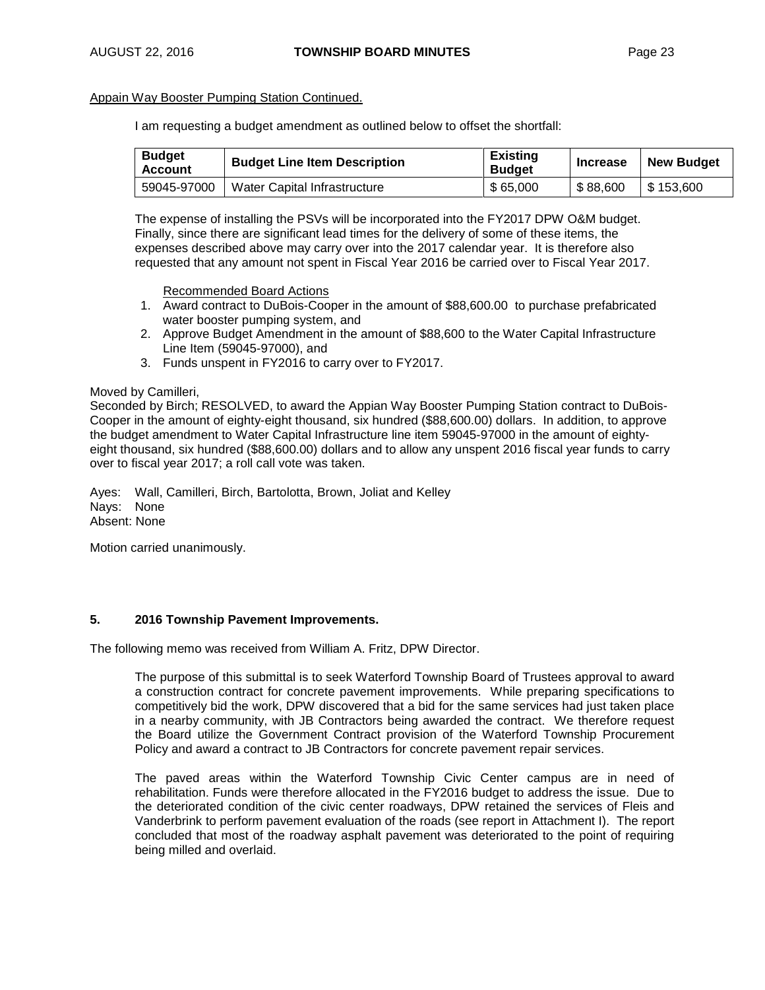#### Appain Way Booster Pumping Station Continued.

I am requesting a budget amendment as outlined below to offset the shortfall:

| <b>Budget</b><br>Account | <b>Budget Line Item Description</b> | <b>Existing</b><br><b>Budget</b> | <b>Increase</b> | <b>New Budget</b> |
|--------------------------|-------------------------------------|----------------------------------|-----------------|-------------------|
| 59045-97000              | Water Capital Infrastructure        | \$65,000                         | \$88,600        | \$153,600         |

The expense of installing the PSVs will be incorporated into the FY2017 DPW O&M budget. Finally, since there are significant lead times for the delivery of some of these items, the expenses described above may carry over into the 2017 calendar year. It is therefore also requested that any amount not spent in Fiscal Year 2016 be carried over to Fiscal Year 2017.

Recommended Board Actions

- 1. Award contract to DuBois-Cooper in the amount of \$88,600.00 to purchase prefabricated water booster pumping system, and
- 2. Approve Budget Amendment in the amount of \$88,600 to the Water Capital Infrastructure Line Item (59045-97000), and
- 3. Funds unspent in FY2016 to carry over to FY2017.

#### Moved by Camilleri,

Seconded by Birch; RESOLVED, to award the Appian Way Booster Pumping Station contract to DuBois-Cooper in the amount of eighty-eight thousand, six hundred (\$88,600.00) dollars. In addition, to approve the budget amendment to Water Capital Infrastructure line item 59045-97000 in the amount of eightyeight thousand, six hundred (\$88,600.00) dollars and to allow any unspent 2016 fiscal year funds to carry over to fiscal year 2017; a roll call vote was taken.

Ayes: Wall, Camilleri, Birch, Bartolotta, Brown, Joliat and Kelley Nays: None Absent: None

Motion carried unanimously.

### **5. 2016 Township Pavement Improvements.**

The following memo was received from William A. Fritz, DPW Director.

The purpose of this submittal is to seek Waterford Township Board of Trustees approval to award a construction contract for concrete pavement improvements. While preparing specifications to competitively bid the work, DPW discovered that a bid for the same services had just taken place in a nearby community, with JB Contractors being awarded the contract. We therefore request the Board utilize the Government Contract provision of the Waterford Township Procurement Policy and award a contract to JB Contractors for concrete pavement repair services.

The paved areas within the Waterford Township Civic Center campus are in need of rehabilitation. Funds were therefore allocated in the FY2016 budget to address the issue. Due to the deteriorated condition of the civic center roadways, DPW retained the services of Fleis and Vanderbrink to perform pavement evaluation of the roads (see report in Attachment I). The report concluded that most of the roadway asphalt pavement was deteriorated to the point of requiring being milled and overlaid.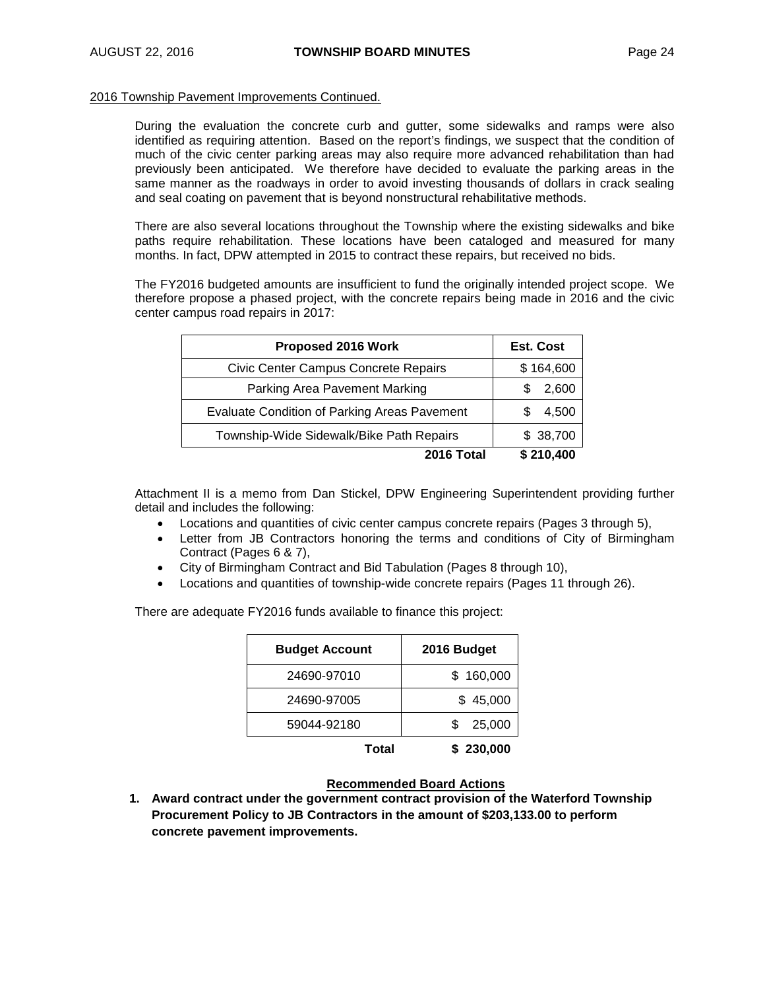During the evaluation the concrete curb and gutter, some sidewalks and ramps were also identified as requiring attention. Based on the report's findings, we suspect that the condition of much of the civic center parking areas may also require more advanced rehabilitation than had previously been anticipated. We therefore have decided to evaluate the parking areas in the same manner as the roadways in order to avoid investing thousands of dollars in crack sealing and seal coating on pavement that is beyond nonstructural rehabilitative methods.

There are also several locations throughout the Township where the existing sidewalks and bike paths require rehabilitation. These locations have been cataloged and measured for many months. In fact, DPW attempted in 2015 to contract these repairs, but received no bids.

The FY2016 budgeted amounts are insufficient to fund the originally intended project scope. We therefore propose a phased project, with the concrete repairs being made in 2016 and the civic center campus road repairs in 2017:

| Proposed 2016 Work                                  | <b>Est. Cost</b> |
|-----------------------------------------------------|------------------|
| Civic Center Campus Concrete Repairs                | \$164,600        |
| Parking Area Pavement Marking                       | 2,600            |
| <b>Evaluate Condition of Parking Areas Pavement</b> | 4,500            |
| Township-Wide Sidewalk/Bike Path Repairs            | \$38,700         |
| 2016 Total                                          | \$210,400        |

Attachment II is a memo from Dan Stickel, DPW Engineering Superintendent providing further detail and includes the following:

- Locations and quantities of civic center campus concrete repairs (Pages 3 through 5),
- Letter from JB Contractors honoring the terms and conditions of City of Birmingham Contract (Pages 6 & 7),
- City of Birmingham Contract and Bid Tabulation (Pages 8 through 10),
- Locations and quantities of township-wide concrete repairs (Pages 11 through 26).

There are adequate FY2016 funds available to finance this project:

| <b>Budget Account</b> | 2016 Budget  |
|-----------------------|--------------|
| 24690-97010           | \$160,000    |
| 24690-97005           | \$45,000     |
| 59044-92180           | 25,000<br>\$ |
| Total                 | \$230,000    |

### **Recommended Board Actions**

**1. Award contract under the government contract provision of the Waterford Township Procurement Policy to JB Contractors in the amount of \$203,133.00 to perform concrete pavement improvements.**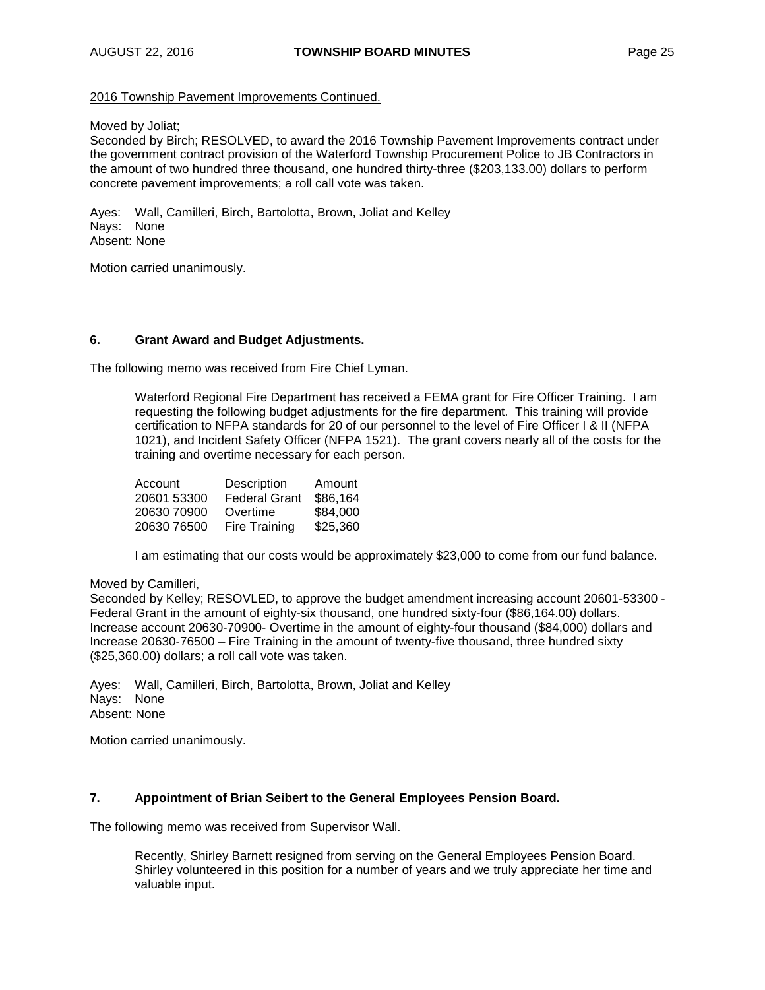#### 2016 Township Pavement Improvements Continued.

Moved by Joliat;

Seconded by Birch; RESOLVED, to award the 2016 Township Pavement Improvements contract under the government contract provision of the Waterford Township Procurement Police to JB Contractors in the amount of two hundred three thousand, one hundred thirty-three (\$203,133.00) dollars to perform concrete pavement improvements; a roll call vote was taken.

Ayes: Wall, Camilleri, Birch, Bartolotta, Brown, Joliat and Kelley Nays: None Absent: None

Motion carried unanimously.

#### **6. Grant Award and Budget Adjustments.**

The following memo was received from Fire Chief Lyman.

Waterford Regional Fire Department has received a FEMA grant for Fire Officer Training. I am requesting the following budget adjustments for the fire department. This training will provide certification to NFPA standards for 20 of our personnel to the level of Fire Officer I & II (NFPA 1021), and Incident Safety Officer (NFPA 1521). The grant covers nearly all of the costs for the training and overtime necessary for each person.

| Account     | Description          | Amount   |
|-------------|----------------------|----------|
| 20601 53300 | <b>Federal Grant</b> | \$86,164 |
| 20630 70900 | Overtime             | \$84,000 |
| 20630 76500 | Fire Training        | \$25,360 |

I am estimating that our costs would be approximately \$23,000 to come from our fund balance.

Moved by Camilleri,

Seconded by Kelley; RESOVLED, to approve the budget amendment increasing account 20601-53300 - Federal Grant in the amount of eighty-six thousand, one hundred sixty-four (\$86,164.00) dollars. Increase account 20630-70900- Overtime in the amount of eighty-four thousand (\$84,000) dollars and Increase 20630-76500 – Fire Training in the amount of twenty-five thousand, three hundred sixty (\$25,360.00) dollars; a roll call vote was taken.

Ayes: Wall, Camilleri, Birch, Bartolotta, Brown, Joliat and Kelley Nays: None Absent: None

Motion carried unanimously.

### **7. Appointment of Brian Seibert to the General Employees Pension Board.**

The following memo was received from Supervisor Wall.

Recently, Shirley Barnett resigned from serving on the General Employees Pension Board. Shirley volunteered in this position for a number of years and we truly appreciate her time and valuable input.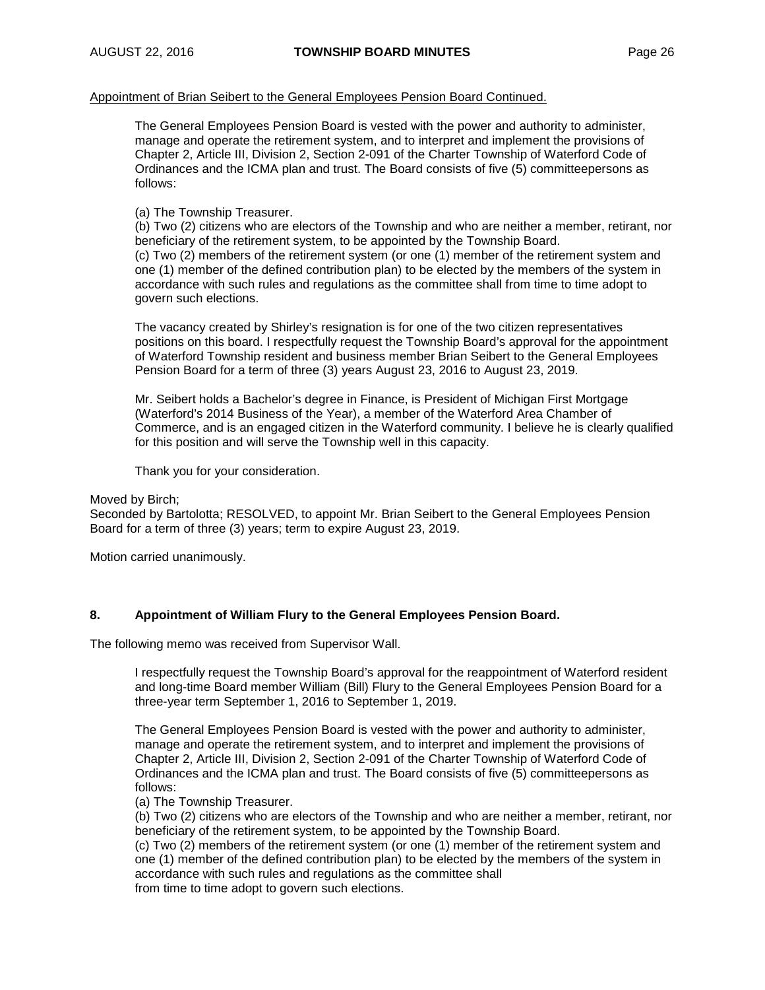Appointment of Brian Seibert to the General Employees Pension Board Continued.

The General Employees Pension Board is vested with the power and authority to administer, manage and operate the retirement system, and to interpret and implement the provisions of Chapter 2, Article III, Division 2, Section 2-091 of the Charter Township of Waterford Code of Ordinances and the ICMA plan and trust. The Board consists of five (5) committeepersons as follows:

(a) The Township Treasurer.

(b) Two (2) citizens who are electors of the Township and who are neither a member, retirant, nor beneficiary of the retirement system, to be appointed by the Township Board. (c) Two (2) members of the retirement system (or one (1) member of the retirement system and one (1) member of the defined contribution plan) to be elected by the members of the system in accordance with such rules and regulations as the committee shall from time to time adopt to govern such elections.

The vacancy created by Shirley's resignation is for one of the two citizen representatives positions on this board. I respectfully request the Township Board's approval for the appointment of Waterford Township resident and business member Brian Seibert to the General Employees Pension Board for a term of three (3) years August 23, 2016 to August 23, 2019.

Mr. Seibert holds a Bachelor's degree in Finance, is President of Michigan First Mortgage (Waterford's 2014 Business of the Year), a member of the Waterford Area Chamber of Commerce, and is an engaged citizen in the Waterford community. I believe he is clearly qualified for this position and will serve the Township well in this capacity.

Thank you for your consideration.

Moved by Birch;

Seconded by Bartolotta; RESOLVED, to appoint Mr. Brian Seibert to the General Employees Pension Board for a term of three (3) years; term to expire August 23, 2019.

Motion carried unanimously.

#### **8. Appointment of William Flury to the General Employees Pension Board.**

The following memo was received from Supervisor Wall.

I respectfully request the Township Board's approval for the reappointment of Waterford resident and long-time Board member William (Bill) Flury to the General Employees Pension Board for a three-year term September 1, 2016 to September 1, 2019.

The General Employees Pension Board is vested with the power and authority to administer, manage and operate the retirement system, and to interpret and implement the provisions of Chapter 2, Article III, Division 2, Section 2-091 of the Charter Township of Waterford Code of Ordinances and the ICMA plan and trust. The Board consists of five (5) committeepersons as follows:

(a) The Township Treasurer.

(b) Two (2) citizens who are electors of the Township and who are neither a member, retirant, nor beneficiary of the retirement system, to be appointed by the Township Board.

(c) Two (2) members of the retirement system (or one (1) member of the retirement system and one (1) member of the defined contribution plan) to be elected by the members of the system in accordance with such rules and regulations as the committee shall from time to time adopt to govern such elections.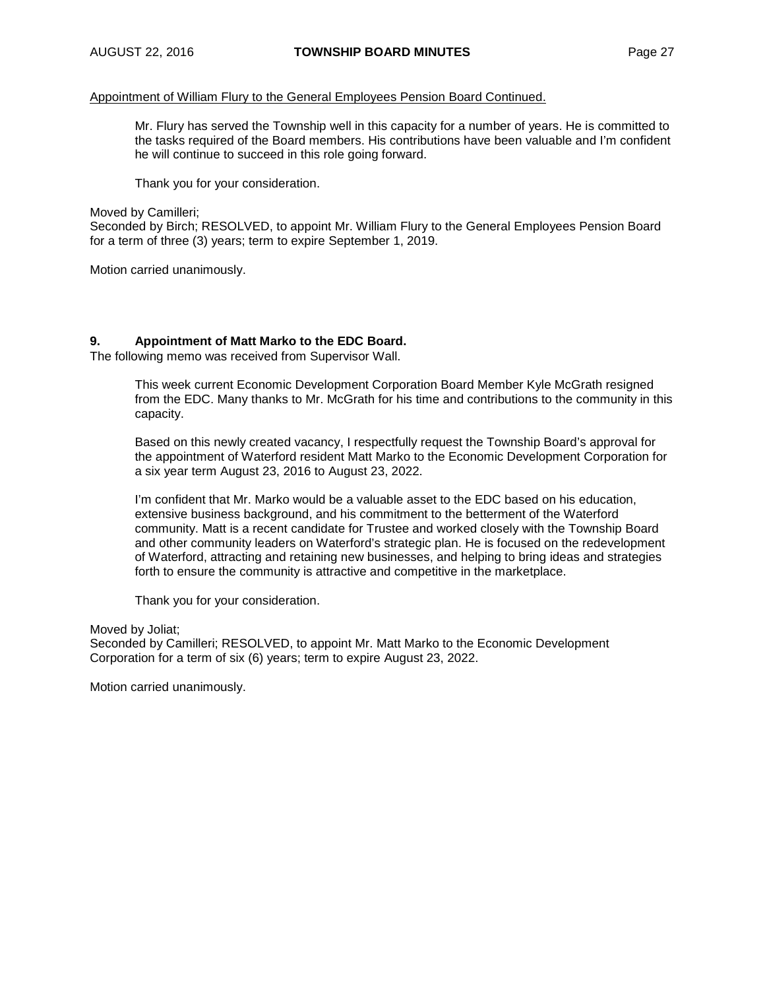#### Appointment of William Flury to the General Employees Pension Board Continued.

Mr. Flury has served the Township well in this capacity for a number of years. He is committed to the tasks required of the Board members. His contributions have been valuable and I'm confident he will continue to succeed in this role going forward.

Thank you for your consideration.

#### Moved by Camilleri;

Seconded by Birch; RESOLVED, to appoint Mr. William Flury to the General Employees Pension Board for a term of three (3) years; term to expire September 1, 2019.

Motion carried unanimously.

#### **9. Appointment of Matt Marko to the EDC Board.**

The following memo was received from Supervisor Wall.

This week current Economic Development Corporation Board Member Kyle McGrath resigned from the EDC. Many thanks to Mr. McGrath for his time and contributions to the community in this capacity.

Based on this newly created vacancy, I respectfully request the Township Board's approval for the appointment of Waterford resident Matt Marko to the Economic Development Corporation for a six year term August 23, 2016 to August 23, 2022.

I'm confident that Mr. Marko would be a valuable asset to the EDC based on his education, extensive business background, and his commitment to the betterment of the Waterford community. Matt is a recent candidate for Trustee and worked closely with the Township Board and other community leaders on Waterford's strategic plan. He is focused on the redevelopment of Waterford, attracting and retaining new businesses, and helping to bring ideas and strategies forth to ensure the community is attractive and competitive in the marketplace.

Thank you for your consideration.

Moved by Joliat;

Seconded by Camilleri; RESOLVED, to appoint Mr. Matt Marko to the Economic Development Corporation for a term of six (6) years; term to expire August 23, 2022.

Motion carried unanimously.